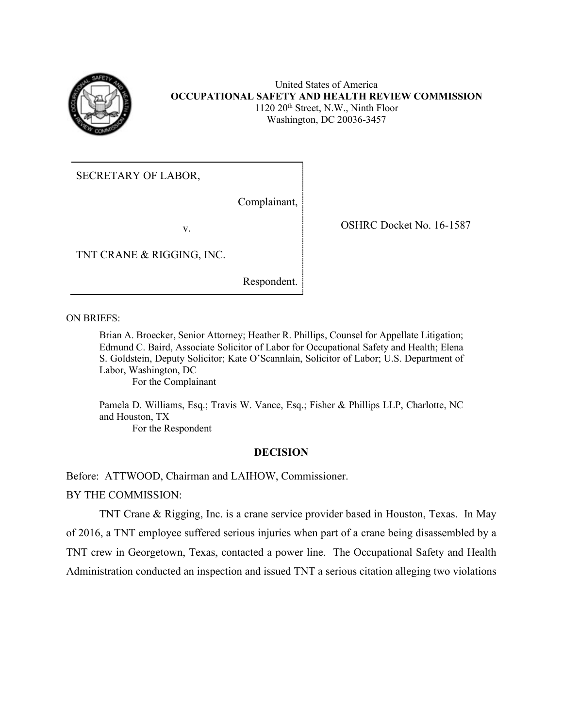

United States of America **OCCUPATIONAL SAFETY AND HEALTH REVIEW COMMISSION**  1120 20th Street, N.W., Ninth Floor Washington, DC 20036-3457

SECRETARY OF LABOR,  ${\bf v}.$ 

Complainant,

TNT CRANE & RIGGING, INC.

Respondent.

Respondent.<br>
ON BRIEFS:<br>
ON BRIEFS:

Brian A. Broecker, Senior Attorney; Heather R. Phillips, Counsel for Appellate Litigation; Edmund C. Baird, Associate Solicitor of Labor for Occupational Safety and Health; Elena S. Goldstein, Deputy Solicitor; Kate O'Scannlain, Solicitor of Labor; U.S. Department of Labor, Washington, DC

For the Complainant

For the Complainant<br>Pamela D. Williams, Esq.; Travis W. Vance, Esq.; Fisher & Phillips LLP, Charlotte, NC and Houston, TX

For the Respondent

## **DECISION**

Before: ATTWOOD, Chairman and LAIHOW, Commissioner. BY THE COMMISSION:

 of 2016, a TNT employee suffered serious injuries when part of a crane being disassembled by a TNT crew in Georgetown, Texas, contacted a power line. The Occupational Safety and Health TNT Crane & Rigging, Inc. is a crane service provider based in Houston, Texas. In May Administration conducted an inspection and issued TNT a serious citation alleging two violations

OSHRC Docket No. 16-1587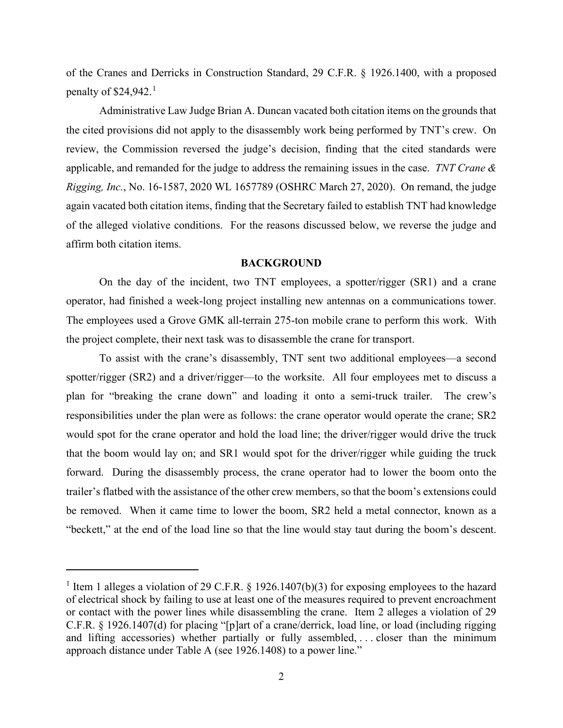penalty of  $$24,942$ .<sup>1</sup> of the Cranes and Derricks in Construction Standard, 29 C.F.R. § 1926.1400, with a proposed

 review, the Commission reversed the judge's decision, finding that the cited standards were *Rigging, Inc.*, No. 16-1587, 2020 WL 1657789 (OSHRC March 27, 2020). On remand, the judge affirm both citation items. Administrative Law Judge Brian A. Duncan vacated both citation items on the grounds that the cited provisions did not apply to the disassembly work being performed by TNT's crew. On applicable, and remanded for the judge to address the remaining issues in the case. *TNT Crane &*  again vacated both citation items, finding that the Secretary failed to establish TNT had knowledge of the alleged violative conditions. For the reasons discussed below, we reverse the judge and

## **BACKGROUND**

 On the day of the incident, two TNT employees, a spotter/rigger (SR1) and a crane operator, had finished a week-long project installing new antennas on a communications tower. The employees used a Grove GMK all-terrain 275-ton mobile crane to perform this work. With the project complete, their next task was to disassemble the crane for transport.

 plan for "breaking the crane down" and loading it onto a semi-truck trailer. The crew's responsibilities under the plan were as follows: the crane operator would operate the crane; SR2 would spot for the crane operator and hold the load line; the driver/rigger would drive the truck forward. During the disassembly process, the crane operator had to lower the boom onto the To assist with the crane's disassembly, TNT sent two additional employees—a second spotter/rigger (SR2) and a driver/rigger—to the worksite. All four employees met to discuss a that the boom would lay on; and SR1 would spot for the driver/rigger while guiding the truck trailer's flatbed with the assistance of the other crew members, so that the boom's extensions could be removed. When it came time to lower the boom, SR2 held a metal connector, known as a "beckett," at the end of the load line so that the line would stay taut during the boom's descent.

<span id="page-1-0"></span> C.F.R. § 1926.1407(d) for placing "[p]art of a crane/derrick, load line, or load (including rigging and lifting accessories) whether partially or fully assembled, . . . closer than the minimum <sup>1</sup> Item 1 alleges a violation of 29 C.F.R. § 1926.1407(b)(3) for exposing employees to the hazard of electrical shock by failing to use at least one of the measures required to prevent encroachment or contact with the power lines while disassembling the crane. Item 2 alleges a violation of 29 approach distance under Table A (see 1926.1408) to a power line."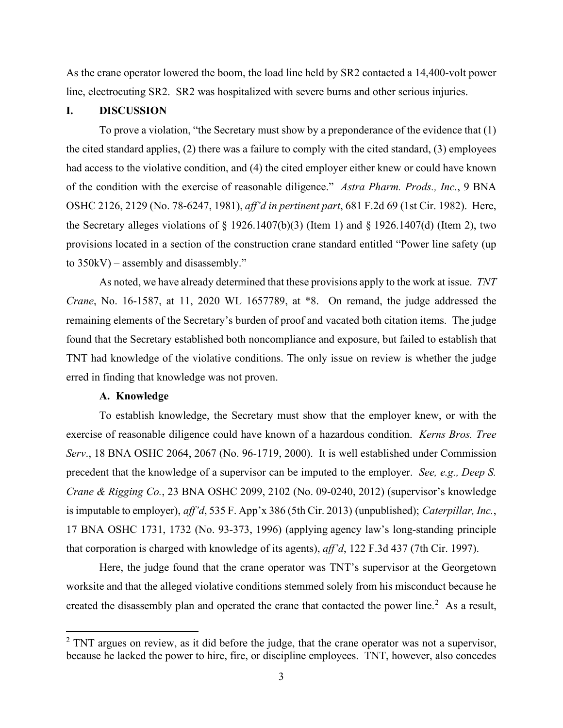As the crane operator lowered the boom, the load line held by SR2 contacted a 14,400-volt power line, electrocuting SR2. SR2 was hospitalized with severe burns and other serious injuries.

# **I. DISCUSSION**

 of the condition with the exercise of reasonable diligence." *Astra Pharm. Prods., Inc.*, 9 BNA to 350kV) – assembly and disassembly." To prove a violation, "the Secretary must show by a preponderance of the evidence that (1) the cited standard applies, (2) there was a failure to comply with the cited standard, (3) employees had access to the violative condition, and (4) the cited employer either knew or could have known OSHC 2126, 2129 (No. 78-6247, 1981), *aff'd in pertinent part*, 681 F.2d 69 (1st Cir. 1982). Here, the Secretary alleges violations of  $\S$  1926.1407(b)(3) (Item 1) and  $\S$  1926.1407(d) (Item 2), two provisions located in a section of the construction crane standard entitled "Power line safety (up

 As noted, we have already determined that these provisions apply to the work at issue. *TNT*  remaining elements of the Secretary's burden of proof and vacated both citation items. The judge *Crane*, No. 16-1587, at 11, 2020 WL 1657789, at \*8. On remand, the judge addressed the found that the Secretary established both noncompliance and exposure, but failed to establish that TNT had knowledge of the violative conditions. The only issue on review is whether the judge erred in finding that knowledge was not proven.

# **A. Knowledge**

 *Serv*., 18 BNA OSHC 2064, 2067 (No. 96-1719, 2000). It is well established under Commission precedent that the knowledge of a supervisor can be imputed to the employer. *See, e.g., Deep S.*  17 BNA OSHC 1731, 1732 (No. 93-373, 1996) (applying agency law's long-standing principle that corporation is charged with knowledge of its agents), *aff'd*, 122 F.3d 437 (7th Cir. 1997). To establish knowledge, the Secretary must show that the employer knew, or with the exercise of reasonable diligence could have known of a hazardous condition. *Kerns Bros. Tree Crane & Rigging Co.*, 23 BNA OSHC 2099, 2102 (No. 09-0240, 2012) (supervisor's knowledge is imputable to employer), *aff'd*, 535 F. App'x 386 (5th Cir. 2013) (unpublished); *Caterpillar, Inc.*,

 Here, the judge found that the crane operator was TNT's supervisor at the Georgetown worksite and that the alleged violative conditions stemmed solely from his misconduct because he created the disassembly plan and operated the crane that contacted the power line.<sup>[2](#page-2-0)</sup> As a result,

<span id="page-2-0"></span> because he lacked the power to hire, fire, or discipline employees. TNT, however, also concedes  $2$  TNT argues on review, as it did before the judge, that the crane operator was not a supervisor,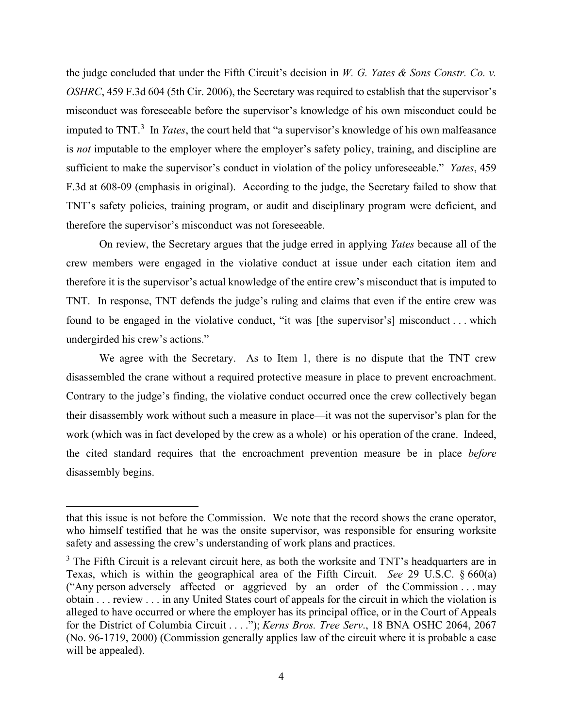misconduct was foreseeable before the supervisor's knowledge of his own misconduct could be imputed to TNT. [3](#page-3-0) In *Yates*, the court held that "a supervisor's knowledge of his own malfeasance F.3d at 608-09 (emphasis in original). According to the judge, the Secretary failed to show that the judge concluded that under the Fifth Circuit's decision in *W. G. Yates & Sons Constr. Co. v. OSHRC*, 459 F.3d 604 (5th Cir. 2006), the Secretary was required to establish that the supervisor's is *not* imputable to the employer where the employer's safety policy, training, and discipline are sufficient to make the supervisor's conduct in violation of the policy unforeseeable." *Yates*, 459 TNT's safety policies, training program, or audit and disciplinary program were deficient, and therefore the supervisor's misconduct was not foreseeable.

 TNT. In response, TNT defends the judge's ruling and claims that even if the entire crew was found to be engaged in the violative conduct, "it was [the supervisor's] misconduct . . . which On review, the Secretary argues that the judge erred in applying *Yates* because all of the crew members were engaged in the violative conduct at issue under each citation item and therefore it is the supervisor's actual knowledge of the entire crew's misconduct that is imputed to undergirded his crew's actions."

 We agree with the Secretary. As to Item 1, there is no dispute that the TNT crew disassembled the crane without a required protective measure in place to prevent encroachment. disassembled the crane without a required protective measure in place to prevent encroachment. Contrary to the judge's finding, the violative conduct occurred once the crew collectively began their disassembly work without such a measure in place—it was not the supervisor's plan for the work (which was in fact developed by the crew as a whole) or his operation of the crane. Indeed, the cited standard requires that the encroachment prevention measure be in place *before*  disassembly begins.

 that this issue is not before the Commission. We note that the record shows the crane operator, who himself testified that he was the onsite supervisor, was responsible for ensuring worksite safety and assessing the crew's understanding of work plans and practices.

<span id="page-3-0"></span> Texas, which is within the geographical area of the Fifth Circuit. *See* 29 U.S.C. § 660(a) ("Any person adversely affected or aggrieved by an order of the Commission . . . may obtain . . . review . . . in any United States court of appeals for the circuit in which the violation is for the District of Columbia Circuit . . . ."); *Kerns Bros. Tree Serv*., 18 BNA OSHC 2064, 2067  $3$  The Fifth Circuit is a relevant circuit here, as both the worksite and TNT's headquarters are in alleged to have occurred or where the employer has its principal office, or in the Court of Appeals (No. 96-1719, 2000) (Commission generally applies law of the circuit where it is probable a case will be appealed).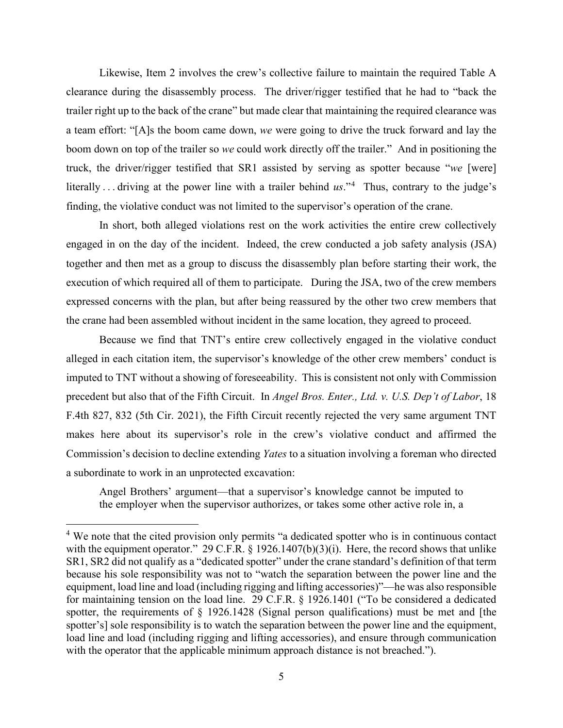Likewise, Item 2 involves the crew's collective failure to maintain the required Table A clearance during the disassembly process. The driver/rigger testified that he had to "back the boom down on top of the trailer so *we* could work directly off the trailer." And in positioning the truck, the driver/rigger testified that SR1 assisted by serving as spotter because "*we* [were] literally . . . driving at the power line with a trailer behind *us*."[4](#page-4-0) Thus, contrary to the judge's finding, the violative conduct was not limited to the supervisor's operation of the crane. trailer right up to the back of the crane" but made clear that maintaining the required clearance was a team effort: "[A]s the boom came down, *we* were going to drive the truck forward and lay the

 engaged in on the day of the incident. Indeed, the crew conducted a job safety analysis (JSA) execution of which required all of them to participate. During the JSA, two of the crew members the crane had been assembled without incident in the same location, they agreed to proceed. In short, both alleged violations rest on the work activities the entire crew collectively together and then met as a group to discuss the disassembly plan before starting their work, the expressed concerns with the plan, but after being reassured by the other two crew members that

 Because we find that TNT's entire crew collectively engaged in the violative conduct alleged in each citation item, the supervisor's knowledge of the other crew members' conduct is imputed to TNT without a showing of foreseeability. This is consistent not only with Commission precedent but also that of the Fifth Circuit. In *Angel Bros. Enter., Ltd. v. U.S. Dep't of Labor*, 18 makes here about its supervisor's role in the crew's violative conduct and affirmed the F.4th 827, 832 (5th Cir. 2021), the Fifth Circuit recently rejected the very same argument TNT Commission's decision to decline extending *Yates* to a situation involving a foreman who directed a subordinate to work in an unprotected excavation:

Angel Brothers' argument—that a supervisor's knowledge cannot be imputed to the employer when the supervisor authorizes, or takes some other active role in, a

<span id="page-4-0"></span> for maintaining tension on the load line. 29 C.F.R. § 1926.1401 ("To be considered a dedicated <sup>4</sup> We note that the cited provision only permits "a dedicated spotter who is in continuous contact with the equipment operator." 29 C.F.R. § 1926.1407(b)(3)(i). Here, the record shows that unlike SR1, SR2 did not qualify as a "dedicated spotter" under the crane standard's definition of that term because his sole responsibility was not to "watch the separation between the power line and the equipment, load line and load (including rigging and lifting accessories)"—he was also responsible spotter, the requirements of § 1926.1428 (Signal person qualifications) must be met and [the spotter's] sole responsibility is to watch the separation between the power line and the equipment, load line and load (including rigging and lifting accessories), and ensure through communication with the operator that the applicable minimum approach distance is not breached.").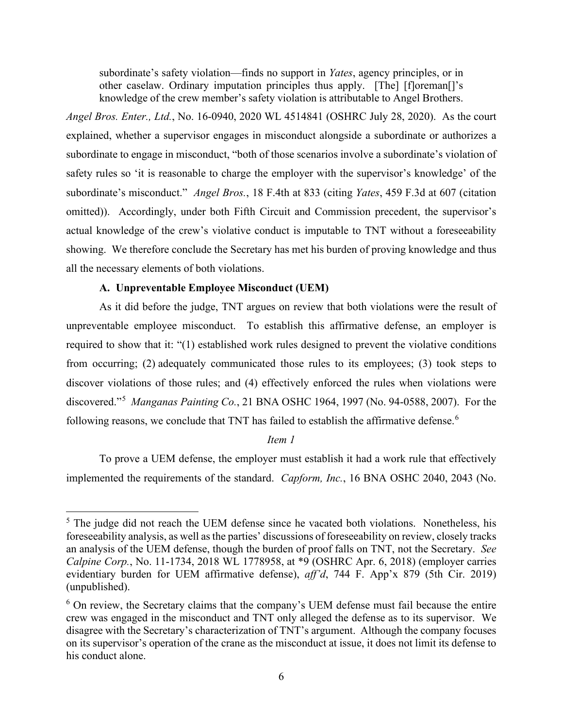subordinate's safety violation—finds no support in *Yates*, agency principles, or in other caselaw. Ordinary imputation principles thus apply. [The] [f]oreman[]'s knowledge of the crew member's safety violation is attributable to Angel Brothers.

 *Angel Bros. Enter., Ltd.*, No. 16-0940, 2020 WL 4514841 (OSHRC July 28, 2020). As the court explained, whether a supervisor engages in misconduct alongside a subordinate or authorizes a subordinate's misconduct." *Angel Bros.*, 18 F.4th at 833 (citing *Yates*, 459 F.3d at 607 (citation omitted)). Accordingly, under both Fifth Circuit and Commission precedent, the supervisor's showing. We therefore conclude the Secretary has met his burden of proving knowledge and thus subordinate to engage in misconduct, "both of those scenarios involve a subordinate's violation of safety rules so 'it is reasonable to charge the employer with the supervisor's knowledge' of the actual knowledge of the crew's violative conduct is imputable to TNT without a foreseeability all the necessary elements of both violations.

## **A. Unpreventable Employee Misconduct (UEM)**

 discovered."[5](#page-5-0) *Manganas Painting Co.*, 21 BNA OSHC 1964, 1997 (No. 94-0588, 2007). For the As it did before the judge, TNT argues on review that both violations were the result of unpreventable employee misconduct. To establish this affirmative defense, an employer is required to show that it: "(1) established work rules designed to prevent the violative conditions from occurring; (2) adequately communicated those rules to its employees; (3) took steps to discover violations of those rules; and (4) effectively enforced the rules when violations were following reasons, we conclude that TNT has failed to establish the affirmative defense.<sup>[6](#page-5-1)</sup>

# *Item 1*

 implemented the requirements of the standard. *Capform, Inc.*, 16 BNA OSHC 2040, 2043 (No. To prove a UEM defense, the employer must establish it had a work rule that effectively

<span id="page-5-0"></span> evidentiary burden for UEM affirmative defense), *aff'd*, 744 F. App'x 879 (5th Cir. 2019)  $<sup>5</sup>$  The judge did not reach the UEM defense since he vacated both violations. Nonetheless, his</sup> foreseeability analysis, as well as the parties' discussions of foreseeability on review, closely tracks an analysis of the UEM defense, though the burden of proof falls on TNT, not the Secretary. *See Calpine Corp.*, No. 11-1734, 2018 WL 1778958, at \*9 (OSHRC Apr. 6, 2018) (employer carries (unpublished).

<span id="page-5-1"></span> $6$  On review, the Secretary claims that the company's UEM defense must fail because the entire crew was engaged in the misconduct and TNT only alleged the defense as to its supervisor. We on its supervisor's operation of the crane as the misconduct at issue, it does not limit its defense to disagree with the Secretary's characterization of TNT's argument. Although the company focuses his conduct alone.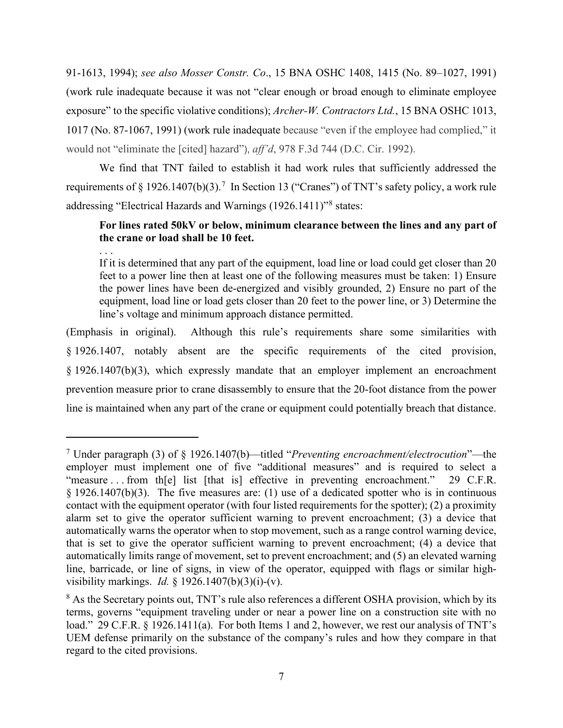91-1613, 1994); *see also Mosser Constr. Co*., 15 BNA OSHC 1408, 1415 (No. 89–1027, 1991) (work rule inadequate because it was not "clear enough or broad enough to eliminate employee exposure" to the specific violative conditions); *Archer-W. Contractors Ltd.*, 15 BNA OSHC 1013, 1017 (No. 87-1067, 1991) (work rule inadequate because "even if the employee had complied," it would not "eliminate the [cited] hazard"), *aff'd*, 978 F.3d 744 (D.C. Cir. 1992).

requirements of § 1926.140[7](#page-6-0)(b)(3).<sup>7</sup> In Section 13 ("Cranes") of TNT's safety policy, a work rule addressing "Electrical Hazards and Warnings (1926.1411)"<sup>8</sup> states: We find that TNT failed to establish it had work rules that sufficiently addressed the

# **For lines rated 50kV or below, minimum clearance between the lines and any part of the crane or load shall be 10 feet.**

. . .

If it is determined that any part of the equipment, load line or load could get closer than 20 feet to a power line then at least one of the following measures must be taken: 1) Ensure the power lines have been de-energized and visibly grounded, 2) Ensure no part of the equipment, load line or load gets closer than 20 feet to the power line, or 3) Determine the line's voltage and minimum approach distance permitted.

 (Emphasis in original). Although this rule's requirements share some similarities with prevention measure prior to crane disassembly to ensure that the 20-foot distance from the power line is maintained when any part of the crane or equipment could potentially breach that distance. § 1926.1407, notably absent are the specific requirements of the cited provision, § 1926.1407(b)(3), which expressly mandate that an employer implement an encroachment

<span id="page-6-0"></span> "measure . . . from th[e] list [that is] effective in preventing encroachment." 29 C.F.R. automatically warns the operator when to stop movement, such as a range control warning device, visibility markings. *Id.* § 1926.1407(b)(3)(i)-(v). 7 Under paragraph (3) of § 1926.1407(b)—titled "*Preventing encroachment/electrocution*"—the employer must implement one of five "additional measures" and is required to select a  $§$  1926.1407(b)(3). The five measures are: (1) use of a dedicated spotter who is in continuous contact with the equipment operator (with four listed requirements for the spotter); (2) a proximity alarm set to give the operator sufficient warning to prevent encroachment; (3) a device that that is set to give the operator sufficient warning to prevent encroachment; (4) a device that automatically limits range of movement, set to prevent encroachment; and (5) an elevated warning line, barricade, or line of signs, in view of the operator, equipped with flags or similar high-

<span id="page-6-1"></span><sup>&</sup>lt;sup>8</sup> As the Secretary points out, TNT's rule also references a different OSHA provision, which by its terms, governs "equipment traveling under or near a power line on a construction site with no load." 29 C.F.R. § 1926.1411(a). For both Items 1 and 2, however, we rest our analysis of TNT's UEM defense primarily on the substance of the company's rules and how they compare in that regard to the cited provisions.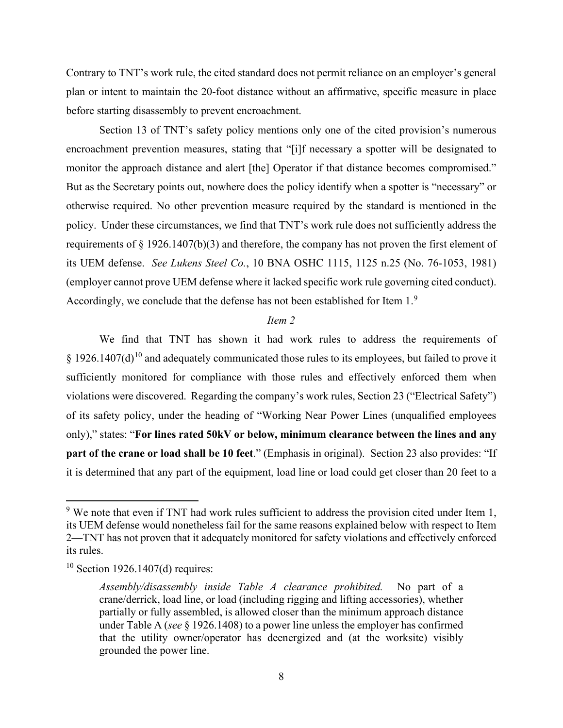Contrary to TNT's work rule, the cited standard does not permit reliance on an employer's general plan or intent to maintain the 20-foot distance without an affirmative, specific measure in place before starting disassembly to prevent encroachment.

 monitor the approach distance and alert [the] Operator if that distance becomes compromised." But as the Secretary points out, nowhere does the policy identify when a spotter is "necessary" or policy. Under these circumstances, we find that TNT's work rule does not sufficiently address the its UEM defense. *See Lukens Steel Co.*, 10 BNA OSHC 1115, 1125 n.25 (No. 76-1053, 1981) Accordingly, we conclude that the defense has not been established for Item  $1.^9$  $1.^9$ Section 13 of TNT's safety policy mentions only one of the cited provision's numerous encroachment prevention measures, stating that "[i]f necessary a spotter will be designated to otherwise required. No other prevention measure required by the standard is mentioned in the requirements of § 1926.1407(b)(3) and therefore, the company has not proven the first element of (employer cannot prove UEM defense where it lacked specific work rule governing cited conduct).

## *Item 2*

 violations were discovered. Regarding the company's work rules, Section 23 ("Electrical Safety") **part of the crane or load shall be 10 feet**." (Emphasis in original). Section 23 also provides: "If We find that TNT has shown it had work rules to address the requirements of § 1926.1407(d)<sup>10</sup> and adequately communicated those rules to its employees, but failed to prove it sufficiently monitored for compliance with those rules and effectively enforced them when of its safety policy, under the heading of "Working Near Power Lines (unqualified employees only)," states: "**For lines rated 50kV or below, minimum clearance between the lines and any**  it is determined that any part of the equipment, load line or load could get closer than 20 feet to a

<span id="page-7-0"></span> $9$  We note that even if TNT had work rules sufficient to address the provision cited under Item 1, its UEM defense would nonetheless fail for the same reasons explained below with respect to Item 2—TNT has not proven that it adequately monitored for safety violations and effectively enforced its rules.

<span id="page-7-1"></span> $10$  Section 1926.1407(d) requires:

 *Assembly/disassembly inside Table A clearance prohibited.* No part of a that the utility owner/operator has deenergized and (at the worksite) visibly crane/derrick, load line, or load (including rigging and lifting accessories), whether partially or fully assembled, is allowed closer than the minimum approach distance under Table A (*see* § 1926.1408) to a power line unless the employer has confirmed grounded the power line.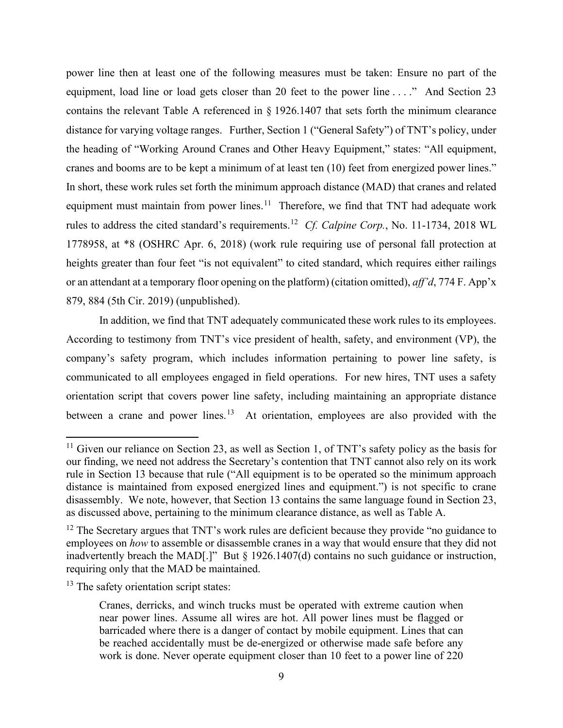equipment, load line or load gets closer than 20 feet to the power line . . . ." And Section 23 distance for varying voltage ranges. Further, Section 1 ("General Safety") of TNT's policy, under cranes and booms are to be kept a minimum of at least ten (10) feet from energized power lines." equipment must maintain from power lines.<sup>[11](#page-8-0)</sup> Therefore, we find that TNT had adequate work rules to address the cited standard's requirements. [12](#page-8-1) *Cf. Calpine Corp.*, No. 11-1734, 2018 WL 879, 884 (5th Cir. 2019) (unpublished). power line then at least one of the following measures must be taken: Ensure no part of the contains the relevant Table A referenced in § 1926.1407 that sets forth the minimum clearance the heading of "Working Around Cranes and Other Heavy Equipment," states: "All equipment, In short, these work rules set forth the minimum approach distance (MAD) that cranes and related 1778958, at \*8 (OSHRC Apr. 6, 2018) (work rule requiring use of personal fall protection at heights greater than four feet "is not equivalent" to cited standard, which requires either railings or an attendant at a temporary floor opening on the platform) (citation omitted), *aff'd*, 774 F. App'x

In addition, we find that TNT adequately communicated these work rules to its employees. 879, 884 (5th Cir. 2019) (unpublished). In addition, we find that TNT adequately communicated these work rules to its employees. According to testimony from TNT's vice president of health, safety, and environment (VP), the between a crane and power lines.<sup>[13](#page-8-2)</sup> At orientation, employees are also provided with the company's safety program, which includes information pertaining to power line safety, is communicated to all employees engaged in field operations. For new hires, TNT uses a safety orientation script that covers power line safety, including maintaining an appropriate distance

<span id="page-8-0"></span>as discussed above, pertaining to the minimum clearance distance, as well as Table A.  $11$  Given our reliance on Section 23, as well as Section 1, of TNT's safety policy as the basis for our finding, we need not address the Secretary's contention that TNT cannot also rely on its work rule in Section 13 because that rule ("All equipment is to be operated so the minimum approach distance is maintained from exposed energized lines and equipment.") is not specific to crane disassembly. We note, however, that Section 13 contains the same language found in Section 23,

<span id="page-8-1"></span> inadvertently breach the MAD[.]" But § 1926.1407(d) contains no such guidance or instruction, requiring only that the MAD be maintained.  $12$  The Secretary argues that TNT's work rules are deficient because they provide "no guidance to employees on *how* to assemble or disassemble cranes in a way that would ensure that they did not

<span id="page-8-2"></span> $13$  The safety orientation script states:

 barricaded where there is a danger of contact by mobile equipment. Lines that can be reached accidentally must be de-energized or otherwise made safe before any Cranes, derricks, and winch trucks must be operated with extreme caution when near power lines. Assume all wires are hot. All power lines must be flagged or work is done. Never operate equipment closer than 10 feet to a power line of 220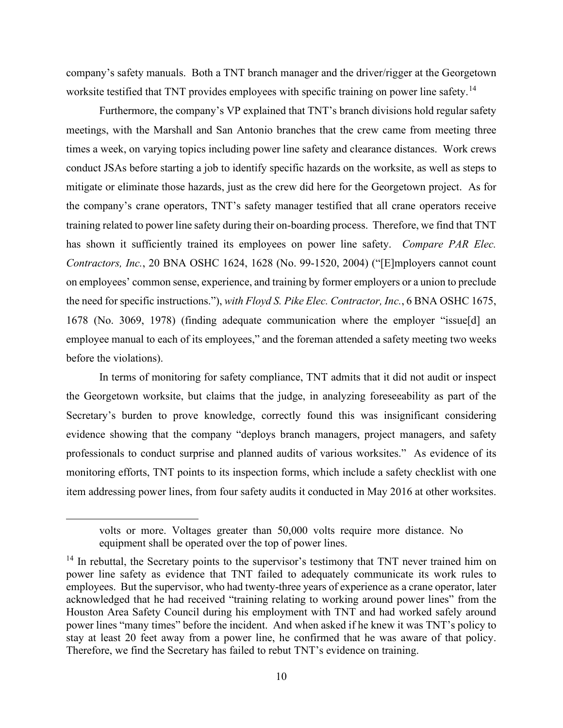company's safety manuals. Both a TNT branch manager and the driver/rigger at the Georgetown worksite testified that TNT provides employees with specific training on power line safety.<sup>[14](#page-9-0)</sup>

 Furthermore, the company's VP explained that TNT's branch divisions hold regular safety mitigate or eliminate those hazards, just as the crew did here for the Georgetown project. As for training related to power line safety during their on-boarding process. Therefore, we find that TNT has shown it sufficiently trained its employees on power line safety. *Compare PAR Elec.*  before the violations). meetings, with the Marshall and San Antonio branches that the crew came from meeting three times a week, on varying topics including power line safety and clearance distances. Work crews conduct JSAs before starting a job to identify specific hazards on the worksite, as well as steps to the company's crane operators, TNT's safety manager testified that all crane operators receive *Contractors, Inc.*, 20 BNA OSHC 1624, 1628 (No. 99-1520, 2004) ("[E]mployers cannot count on employees' common sense, experience, and training by former employers or a union to preclude the need for specific instructions."), *with Floyd S. Pike Elec. Contractor, Inc.*, 6 BNA OSHC 1675, 1678 (No. 3069, 1978) (finding adequate communication where the employer "issue[d] an employee manual to each of its employees," and the foreman attended a safety meeting two weeks

before the violations).<br>In terms of monitoring for safety compliance, TNT admits that it did not audit or inspect Secretary's burden to prove knowledge, correctly found this was insignificant considering professionals to conduct surprise and planned audits of various worksites." As evidence of its monitoring efforts, TNT points to its inspection forms, which include a safety checklist with one item addressing power lines, from four safety audits it conducted in May 2016 at other worksites. the Georgetown worksite, but claims that the judge, in analyzing foreseeability as part of the evidence showing that the company "deploys branch managers, project managers, and safety

 equipment shall be operated over the top of power lines. volts or more. Voltages greater than 50,000 volts require more distance. No

<span id="page-9-0"></span> acknowledged that he had received "training relating to working around power lines" from the stay at least 20 feet away from a power line, he confirmed that he was aware of that policy.  $14$  In rebuttal, the Secretary points to the supervisor's testimony that TNT never trained him on power line safety as evidence that TNT failed to adequately communicate its work rules to employees. But the supervisor, who had twenty-three years of experience as a crane operator, later Houston Area Safety Council during his employment with TNT and had worked safely around power lines "many times" before the incident. And when asked if he knew it was TNT's policy to Therefore, we find the Secretary has failed to rebut TNT's evidence on training.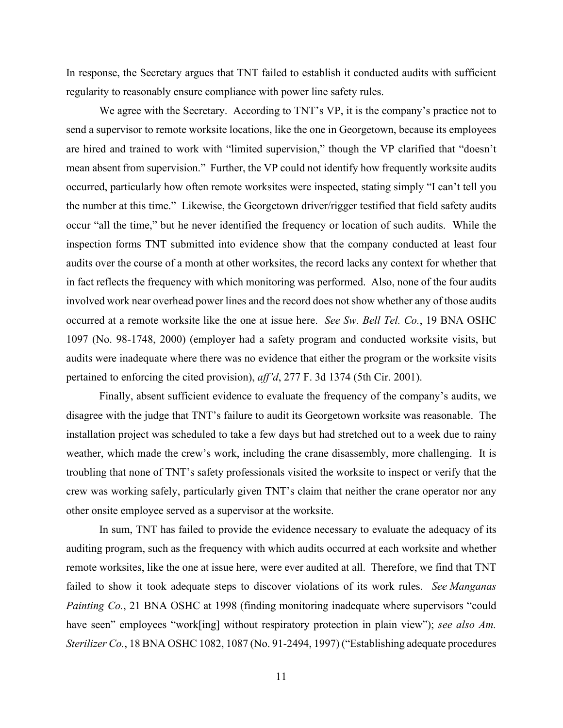In response, the Secretary argues that TNT failed to establish it conducted audits with sufficient regularity to reasonably ensure compliance with power line safety rules.

 We agree with the Secretary. According to TNT's VP, it is the company's practice not to mean absent from supervision." Further, the VP could not identify how frequently worksite audits the number at this time." Likewise, the Georgetown driver/rigger testified that field safety audits occur "all the time," but he never identified the frequency or location of such audits. While the audits over the course of a month at other worksites, the record lacks any context for whether that in fact reflects the frequency with which monitoring was performed. Also, none of the four audits involved work near overhead power lines and the record does not show whether any of those audits occurred at a remote worksite like the one at issue here. *See Sw. Bell Tel. Co.*, 19 BNA OSHC audits were inadequate where there was no evidence that either the program or the worksite visits pertained to enforcing the cited provision), *aff'd*, 277 F. 3d 1374 (5th Cir. 2001). send a supervisor to remote worksite locations, like the one in Georgetown, because its employees are hired and trained to work with "limited supervision," though the VP clarified that "doesn't occurred, particularly how often remote worksites were inspected, stating simply "I can't tell you inspection forms TNT submitted into evidence show that the company conducted at least four 1097 (No. 98-1748, 2000) (employer had a safety program and conducted worksite visits, but

 crew was working safely, particularly given TNT's claim that neither the crane operator nor any other onsite employee served as a supervisor at the worksite. Finally, absent sufficient evidence to evaluate the frequency of the company's audits, we disagree with the judge that TNT's failure to audit its Georgetown worksite was reasonable. The installation project was scheduled to take a few days but had stretched out to a week due to rainy weather, which made the crew's work, including the crane disassembly, more challenging. It is troubling that none of TNT's safety professionals visited the worksite to inspect or verify that the

 In sum, TNT has failed to provide the evidence necessary to evaluate the adequacy of its remote worksites, like the one at issue here, were ever audited at all. Therefore, we find that TNT failed to show it took adequate steps to discover violations of its work rules. *See Manganas* auditing program, such as the frequency with which audits occurred at each worksite and whether *Painting Co.*, 21 BNA OSHC at 1998 (finding monitoring inadequate where supervisors "could have seen" employees "work[ing] without respiratory protection in plain view"); *see also Am*. *Sterilizer Co.*, 18 BNA OSHC 1082, 1087 (No. 91-2494, 1997) ("Establishing adequate procedures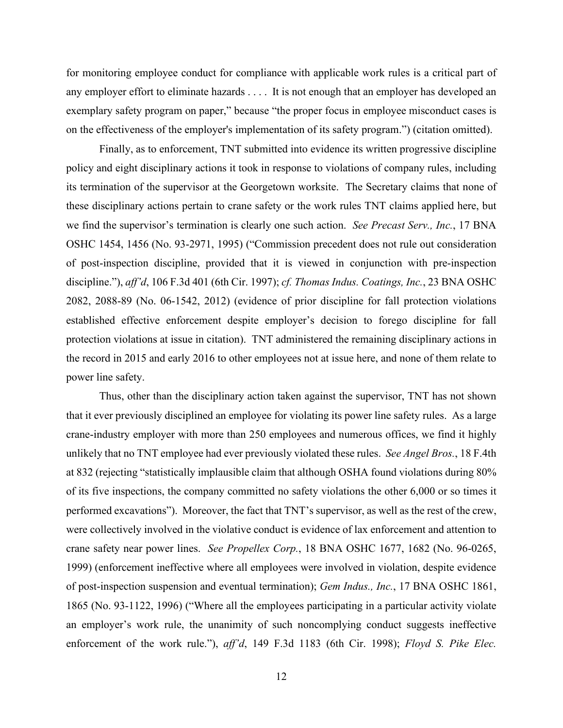any employer effort to eliminate hazards . . . . It is not enough that an employer has developed an on the effectiveness of the employer's implementation of its safety program.") (citation omitted). for monitoring employee conduct for compliance with applicable work rules is a critical part of exemplary safety program on paper," because "the proper focus in employee misconduct cases is

 established effective enforcement despite employer's decision to forego discipline for fall protection violations at issue in citation). TNT administered the remaining disciplinary actions in the record in 2015 and early 2016 to other employees not at issue here, and none of them relate to Finally, as to enforcement, TNT submitted into evidence its written progressive discipline. policy and eight disciplinary actions it took in response to violations of company rules, including its termination of the supervisor at the Georgetown worksite. The Secretary claims that none of these disciplinary actions pertain to crane safety or the work rules TNT claims applied here, but we find the supervisor's termination is clearly one such action. *See Precast Serv., Inc.*, 17 BNA OSHC 1454, 1456 (No. 93-2971, 1995) ("Commission precedent does not rule out consideration of post-inspection discipline, provided that it is viewed in conjunction with pre-inspection discipline."), *aff'd*, 106 F.3d 401 (6th Cir. 1997); *cf. Thomas Indus. Coatings, Inc.*, 23 BNA OSHC 2082, 2088-89 (No. 06-1542, 2012) (evidence of prior discipline for fall protection violations power line safety.

 crane-industry employer with more than 250 employees and numerous offices, we find it highly unlikely that no TNT employee had ever previously violated these rules. *See Angel Bros.*, 18 F.4th crane safety near power lines. *See Propellex Corp.*, 18 BNA OSHC 1677, 1682 (No. 96-0265, Thus, other than the disciplinary action taken against the supervisor, TNT has not shown that it ever previously disciplined an employee for violating its power line safety rules. As a large at 832 (rejecting "statistically implausible claim that although OSHA found violations during 80% of its five inspections, the company committed no safety violations the other 6,000 or so times it performed excavations"). Moreover, the fact that TNT's supervisor, as well as the rest of the crew, were collectively involved in the violative conduct is evidence of lax enforcement and attention to 1999) (enforcement ineffective where all employees were involved in violation, despite evidence of post-inspection suspension and eventual termination); *Gem Indus., Inc.*, 17 BNA OSHC 1861, 1865 (No. 93-1122, 1996) ("Where all the employees participating in a particular activity violate an employer's work rule, the unanimity of such noncomplying conduct suggests ineffective enforcement of the work rule."), *aff'd*, 149 F.3d 1183 (6th Cir. 1998); *Floyd S. Pike Elec.*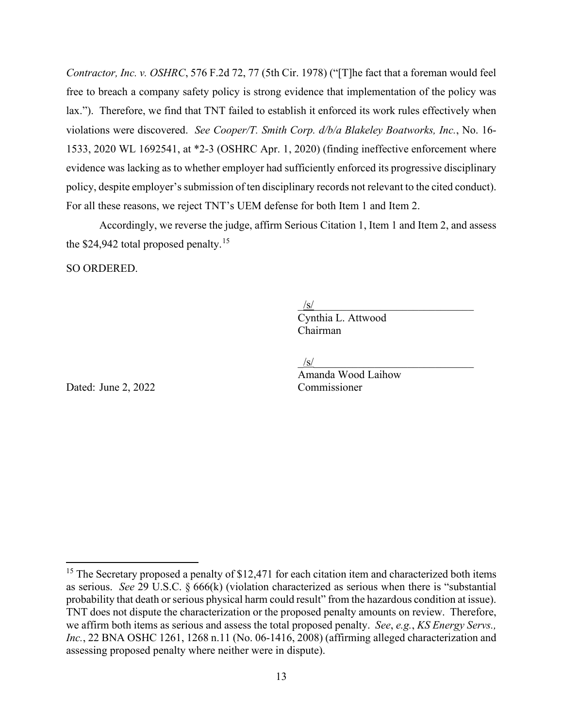lax."). Therefore, we find that TNT failed to establish it enforced its work rules effectively when For all these reasons, we reject TNT's UEM defense for both Item 1 and Item 2. *Contractor, Inc. v. OSHRC*, 576 F.2d 72, 77 (5th Cir. 1978) ("[T]he fact that a foreman would feel free to breach a company safety policy is strong evidence that implementation of the policy was violations were discovered. *See Cooper/T. Smith Corp. d/b/a Blakeley Boatworks, Inc.*, No. 16- 1533, 2020 WL 1692541, at \*2-3 (OSHRC Apr. 1, 2020) (finding ineffective enforcement where evidence was lacking as to whether employer had sufficiently enforced its progressive disciplinary policy, despite employer's submission of ten disciplinary records not relevant to the cited conduct).

 Accordingly, we reverse the judge, affirm Serious Citation 1, Item 1 and Item 2, and assess the \$24,942 total proposed penalty.<sup>[15](#page-12-0)</sup>

SO ORDERED.

 $\frac{1}{s}$ 

 Chairman Cynthia L. Attwood

 $/\mathrm{s}/$ 

Amanda Wood Laihow

Dated: June 2, 2022 Commissioner

<span id="page-12-0"></span>probability that death or serious physical harm could result" from the hazardous condition at issue). assessing proposed penalty where neither were in dispute). <sup>15</sup> The Secretary proposed a penalty of \$12,471 for each citation item and characterized both items as serious. *See* 29 U.S.C. § 666(k) (violation characterized as serious when there is "substantial TNT does not dispute the characterization or the proposed penalty amounts on review. Therefore, we affirm both items as serious and assess the total proposed penalty. *See*, *e.g.*, *KS Energy Servs., Inc.*, 22 BNA OSHC 1261, 1268 n.11 (No. 06-1416, 2008) (affirming alleged characterization and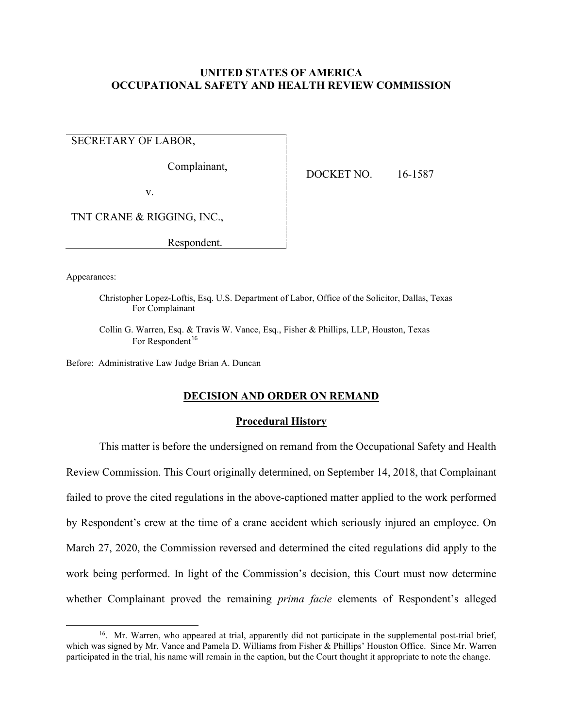## **UNITED STATES OF AMERICA OCCUPATIONAL SAFETY AND HEALTH REVIEW COMMISSION**

SECRETARY OF LABOR,

Complainant, DOCKET NO. 16-1587

v.

TNT CRANE & RIGGING, INC.,

Respondent.

Appearances:

Christopher Lopez-Loftis, Esq. U.S. Department of Labor, Office of the Solicitor, Dallas, Texas For Complainant

Collin G. Warren, Esq. & Travis W. Vance, Esq., Fisher & Phillips, LLP, Houston, Texas For Respondent<sup>[16](#page-13-0)</sup>

Before: Administrative Law Judge Brian A. Duncan

## **DECISION AND ORDER ON REMAND**

#### **Procedural History**

 This matter is before the undersigned on remand from the Occupational Safety and Health Review Commission. This Court originally determined, on September 14, 2018, that Complainant by Respondent's crew at the time of a crane accident which seriously injured an employee. On failed to prove the cited regulations in the above-captioned matter applied to the work performed March 27, 2020, the Commission reversed and determined the cited regulations did apply to the work being performed. In light of the Commission's decision, this Court must now determine whether Complainant proved the remaining *prima facie* elements of Respondent's alleged

<span id="page-13-0"></span><sup>&</sup>lt;sup>16</sup>. Mr. Warren, who appeared at trial, apparently did not participate in the supplemental post-trial brief, which was signed by Mr. Vance and Pamela D. Williams from Fisher & Phillips' Houston Office. Since Mr. Warren participated in the trial, his name will remain in the caption, but the Court thought it appropriate to note the change.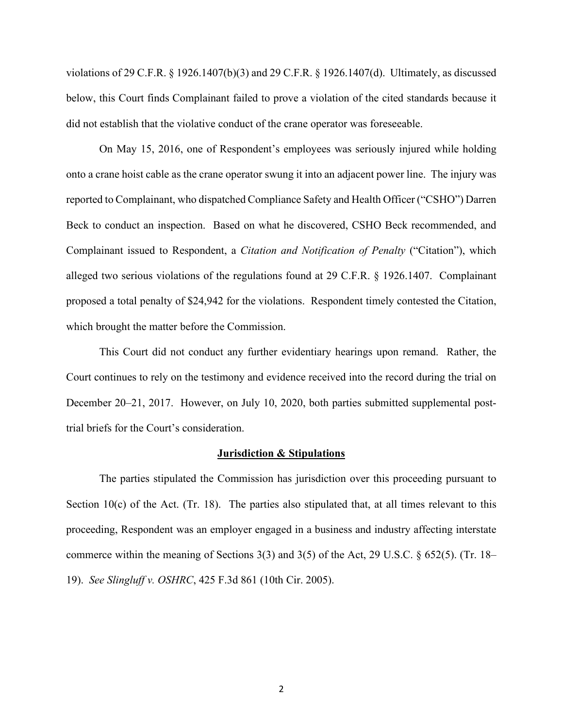did not establish that the violative conduct of the crane operator was foreseeable. violations of 29 C.F.R. § 1926.1407(b)(3) and 29 C.F.R. § 1926.1407(d). Ultimately, as discussed below, this Court finds Complainant failed to prove a violation of the cited standards because it

 On May 15, 2016, one of Respondent's employees was seriously injured while holding onto a crane hoist cable as the crane operator swung it into an adjacent power line. The injury was reported to Complainant, who dispatched Compliance Safety and Health Officer ("CSHO") Darren Beck to conduct an inspection. Based on what he discovered, CSHO Beck recommended, and Complainant issued to Respondent, a *Citation and Notification of Penalty* ("Citation"), which alleged two serious violations of the regulations found at 29 C.F.R. § 1926.1407. Complainant proposed a total penalty of \$24,942 for the violations. Respondent timely contested the Citation, which brought the matter before the Commission.

This Court did not conduct any further evidentiary hearings upon remand. Rather, the Court continues to rely on the testimony and evidence received into the record during the trial on December 20–21, 2017. However, on July 10, 2020, both parties submitted supplemental posttrial briefs for the Court's consideration.

#### **Jurisdiction & Stipulations**

The parties stipulated the Commission has jurisdiction over this proceeding pursuant to Section 10(c) of the Act. (Tr. 18). The parties also stipulated that, at all times relevant to this proceeding, Respondent was an employer engaged in a business and industry affecting interstate commerce within the meaning of Sections 3(3) and 3(5) of the Act, 29 U.S.C. § 652(5). (Tr. 18– 19). *See Slingluff v. OSHRC*, 425 F.3d 861 (10th Cir. 2005).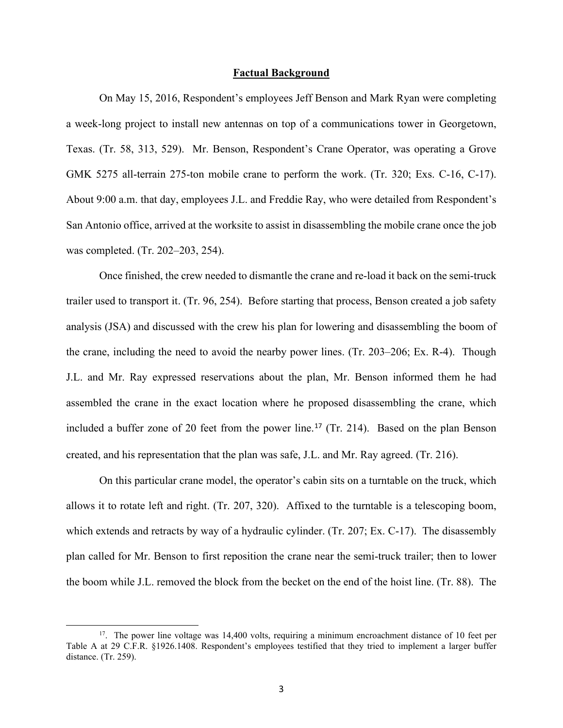#### **Factual Background**

On May 15, 2016, Respondent's employees Jeff Benson and Mark Ryan were completing a week-long project to install new antennas on top of a communications tower in Georgetown, Texas. (Tr. 58, 313, 529). Mr. Benson, Respondent's Crane Operator, was operating a Grove GMK 5275 all-terrain 275-ton mobile crane to perform the work. (Tr. 320; Exs. C-16, C-17). About 9:00 a.m. that day, employees J.L. and Freddie Ray, who were detailed from Respondent's San Antonio office, arrived at the worksite to assist in disassembling the mobile crane once the job was completed. (Tr. 202–203, 254).

included a buffer zone of 20 feet from the power line.<sup>[17](#page-15-0)</sup> (Tr. 214). Based on the plan Benson Once finished, the crew needed to dismantle the crane and re-load it back on the semi-truck trailer used to transport it. (Tr. 96, 254). Before starting that process, Benson created a job safety analysis (JSA) and discussed with the crew his plan for lowering and disassembling the boom of the crane, including the need to avoid the nearby power lines. (Tr. 203–206; Ex. R-4). Though J.L. and Mr. Ray expressed reservations about the plan, Mr. Benson informed them he had assembled the crane in the exact location where he proposed disassembling the crane, which created, and his representation that the plan was safe, J.L. and Mr. Ray agreed. (Tr. 216).

 allows it to rotate left and right. (Tr. 207, 320). Affixed to the turntable is a telescoping boom, the boom while J.L. removed the block from the becket on the end of the hoist line. (Tr. 88). The On this particular crane model, the operator's cabin sits on a turntable on the truck, which which extends and retracts by way of a hydraulic cylinder. (Tr. 207; Ex. C-17). The disassembly plan called for Mr. Benson to first reposition the crane near the semi-truck trailer; then to lower

<span id="page-15-0"></span> $17.$  The power line voltage was 14,400 volts, requiring a minimum encroachment distance of 10 feet per distance. (Tr. 259). Table A at 29 C.F.R. §1926.1408. Respondent's employees testified that they tried to implement a larger buffer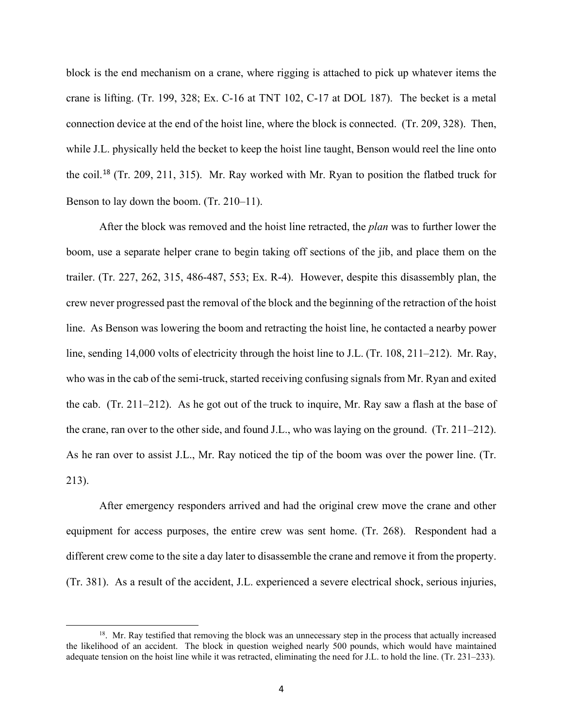crane is lifting. (Tr. 199, 328; Ex. C-16 at TNT 102, C-17 at DOL 187). The becket is a metal block is the end mechanism on a crane, where rigging is attached to pick up whatever items the connection device at the end of the hoist line, where the block is connected. (Tr. 209, 328). Then, while J.L. physically held the becket to keep the hoist line taught, Benson would reel the line onto the coil.[18](#page-16-0) (Tr. 209, 211, 315). Mr. Ray worked with Mr. Ryan to position the flatbed truck for Benson to lay down the boom. (Tr. 210–11).

 After the block was removed and the hoist line retracted, the *plan* was to further lower the the crane, ran over to the other side, and found J.L., who was laying on the ground. (Tr. 211–212).  $213$ ). boom, use a separate helper crane to begin taking off sections of the jib, and place them on the trailer. (Tr. 227, 262, 315, 486-487, 553; Ex. R-4). However, despite this disassembly plan, the crew never progressed past the removal of the block and the beginning of the retraction of the hoist line. As Benson was lowering the boom and retracting the hoist line, he contacted a nearby power line, sending 14,000 volts of electricity through the hoist line to J.L. (Tr. 108, 211–212). Mr. Ray, who was in the cab of the semi-truck, started receiving confusing signals from Mr. Ryan and exited the cab. (Tr. 211–212). As he got out of the truck to inquire, Mr. Ray saw a flash at the base of As he ran over to assist J.L., Mr. Ray noticed the tip of the boom was over the power line. (Tr.

 213). After emergency responders arrived and had the original crew move the crane and other (Tr. 381). As a result of the accident, J.L. experienced a severe electrical shock, serious injuries, equipment for access purposes, the entire crew was sent home. (Tr. 268). Respondent had a different crew come to the site a day later to disassemble the crane and remove it from the property.

<span id="page-16-0"></span> the likelihood of an accident. The block in question weighed nearly 500 pounds, which would have maintained adequate tension on the hoist line while it was retracted, eliminating the need for J.L. to hold the line. (Tr. 231–233). <sup>18</sup>. Mr. Ray testified that removing the block was an unnecessary step in the process that actually increased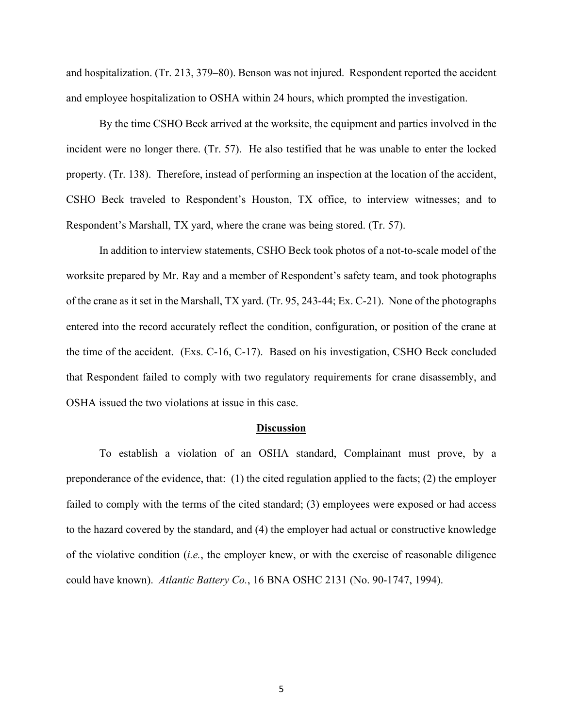and hospitalization. (Tr. 213, 379–80). Benson was not injured. Respondent reported the accident and employee hospitalization to OSHA within 24 hours, which prompted the investigation.

By the time CSHO Beck arrived at the worksite, the equipment and parties involved in the incident were no longer there. (Tr. 57). He also testified that he was unable to enter the locked property. (Tr. 138). Therefore, instead of performing an inspection at the location of the accident, CSHO Beck traveled to Respondent's Houston, TX office, to interview witnesses; and to Respondent's Marshall, TX yard, where the crane was being stored. (Tr. 57).

In addition to interview statements, CSHO Beck took photos of a not-to-scale model of the worksite prepared by Mr. Ray and a member of Respondent's safety team, and took photographs of the crane as it set in the Marshall, TX yard. (Tr. 95, 243-44; Ex. C-21). None of the photographs entered into the record accurately reflect the condition, configuration, or position of the crane at the time of the accident. (Exs. C-16, C-17). Based on his investigation, CSHO Beck concluded that Respondent failed to comply with two regulatory requirements for crane disassembly, and OSHA issued the two violations at issue in this case.

## **Discussion**

To establish a violation of an OSHA standard, Complainant must prove, by a preponderance of the evidence, that: (1) the cited regulation applied to the facts; (2) the employer failed to comply with the terms of the cited standard; (3) employees were exposed or had access to the hazard covered by the standard, and (4) the employer had actual or constructive knowledge of the violative condition (*i.e.*, the employer knew, or with the exercise of reasonable diligence could have known). *Atlantic Battery Co.*, 16 BNA OSHC 2131 (No. 90-1747, 1994).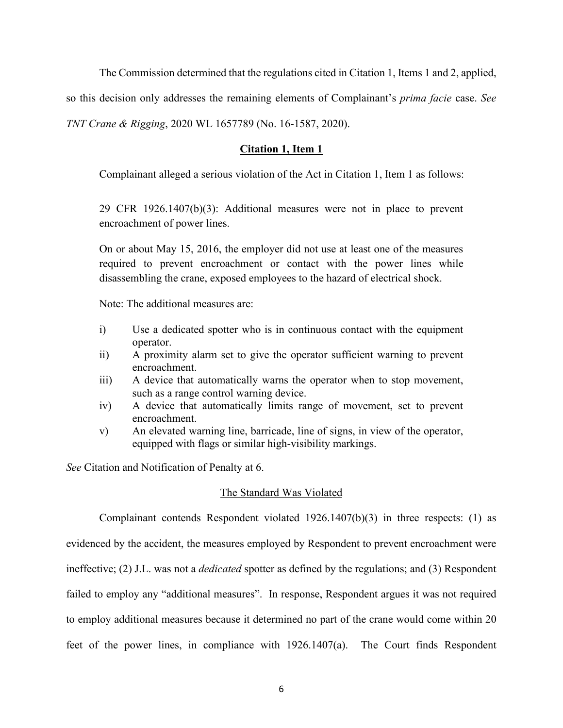The Commission determined that the regulations cited in Citation 1, Items 1 and 2, applied,

so this decision only addresses the remaining elements of Complainant's *prima facie* case. *See* 

*TNT Crane & Rigging*, 2020 WL 1657789 (No. 16-1587, 2020).

# **Citation 1, Item 1**

Complainant alleged a serious violation of the Act in Citation 1, Item 1 as follows:

29 CFR 1926.1407(b)(3): Additional measures were not in place to prevent encroachment of power lines.

On or about May 15, 2016, the employer did not use at least one of the measures required to prevent encroachment or contact with the power lines while disassembling the crane, exposed employees to the hazard of electrical shock.

Note: The additional measures are:

- i) Use a dedicated spotter who is in continuous contact with the equipment operator.
- ii) A proximity alarm set to give the operator sufficient warning to prevent encroachment.
- iii) A device that automatically warns the operator when to stop movement, such as a range control warning device.
- iv) A device that automatically limits range of movement, set to prevent encroachment.
- v) An elevated warning line, barricade, line of signs, in view of the operator, equipped with flags or similar high-visibility markings.

*See* Citation and Notification of Penalty at 6.

## The Standard Was Violated

 ineffective; (2) J.L. was not a *dedicated* spotter as defined by the regulations; and (3) Respondent Complainant contends Respondent violated 1926.1407(b)(3) in three respects: (1) as evidenced by the accident, the measures employed by Respondent to prevent encroachment were failed to employ any "additional measures". In response, Respondent argues it was not required to employ additional measures because it determined no part of the crane would come within 20 feet of the power lines, in compliance with 1926.1407(a). The Court finds Respondent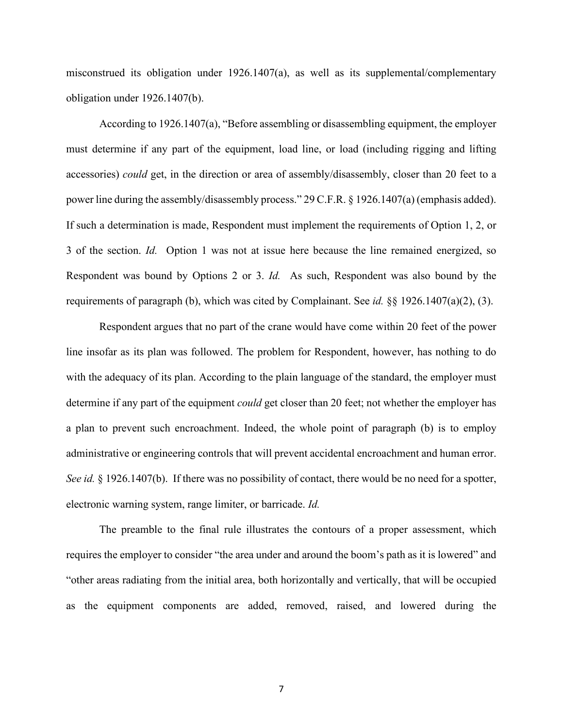misconstrued its obligation under 1926.1407(a), as well as its supplemental/complementary obligation under 1926.1407(b).

 3 of the section. *Id.* Option 1 was not at issue here because the line remained energized, so Respondent was bound by Options 2 or 3. *Id.* As such, Respondent was also bound by the requirements of paragraph (b), which was cited by Complainant. See *id.* §§ 1926.1407(a)(2), (3). According to 1926.1407(a), "Before assembling or disassembling equipment, the employer must determine if any part of the equipment, load line, or load (including rigging and lifting accessories) *could* get, in the direction or area of assembly/disassembly, closer than 20 feet to a power line during the assembly/disassembly process." 29 C.F.R. § 1926.1407(a) (emphasis added). If such a determination is made, Respondent must implement the requirements of Option 1, 2, or

 determine if any part of the equipment *could* get closer than 20 feet; not whether the employer has Respondent argues that no part of the crane would have come within 20 feet of the power line insofar as its plan was followed. The problem for Respondent, however, has nothing to do with the adequacy of its plan. According to the plain language of the standard, the employer must a plan to prevent such encroachment. Indeed, the whole point of paragraph (b) is to employ administrative or engineering controls that will prevent accidental encroachment and human error. *See id.* § 1926.1407(b). If there was no possibility of contact, there would be no need for a spotter, electronic warning system, range limiter, or barricade. *Id.* 

 The preamble to the final rule illustrates the contours of a proper assessment, which requires the employer to consider "the area under and around the boom's path as it is lowered" and "other areas radiating from the initial area, both horizontally and vertically, that will be occupied as the equipment components are added, removed, raised, and lowered during the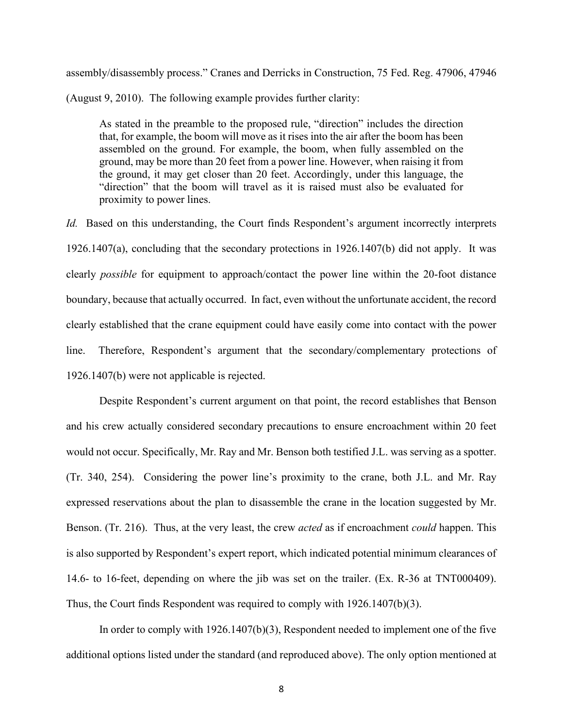assembly/disassembly process." Cranes and Derricks in Construction, 75 Fed. Reg. 47906, 47946

(August 9, 2010). The following example provides further clarity:

As stated in the preamble to the proposed rule, "direction" includes the direction that, for example, the boom will move as it rises into the air after the boom has been assembled on the ground. For example, the boom, when fully assembled on the ground, may be more than 20 feet from a power line. However, when raising it from the ground, it may get closer than 20 feet. Accordingly, under this language, the "direction" that the boom will travel as it is raised must also be evaluated for proximity to power lines.

 *Id.* Based on this understanding, the Court finds Respondent's argument incorrectly interprets 1926.1407(a), concluding that the secondary protections in 1926.1407(b) did not apply. It was  $line<sub>1</sub>$ clearly *possible* for equipment to approach/contact the power line within the 20-foot distance boundary, because that actually occurred. In fact, even without the unfortunate accident, the record clearly established that the crane equipment could have easily come into contact with the power Therefore, Respondent's argument that the secondary/complementary protections of 1926.1407(b) were not applicable is rejected.

 and his crew actually considered secondary precautions to ensure encroachment within 20 feet would not occur. Specifically, Mr. Ray and Mr. Benson both testified J.L. was serving as a spotter. is also supported by Respondent's expert report, which indicated potential minimum clearances of 14.6- to 16-feet, depending on where the jib was set on the trailer. (Ex. R-36 at TNT000409). Thus, the Court finds Respondent was required to comply with 1926.1407(b)(3). Despite Respondent's current argument on that point, the record establishes that Benson (Tr. 340, 254). Considering the power line's proximity to the crane, both J.L. and Mr. Ray expressed reservations about the plan to disassemble the crane in the location suggested by Mr. Benson. (Tr. 216). Thus, at the very least, the crew *acted* as if encroachment *could* happen. This

 In order to comply with 1926.1407(b)(3), Respondent needed to implement one of the five additional options listed under the standard (and reproduced above). The only option mentioned at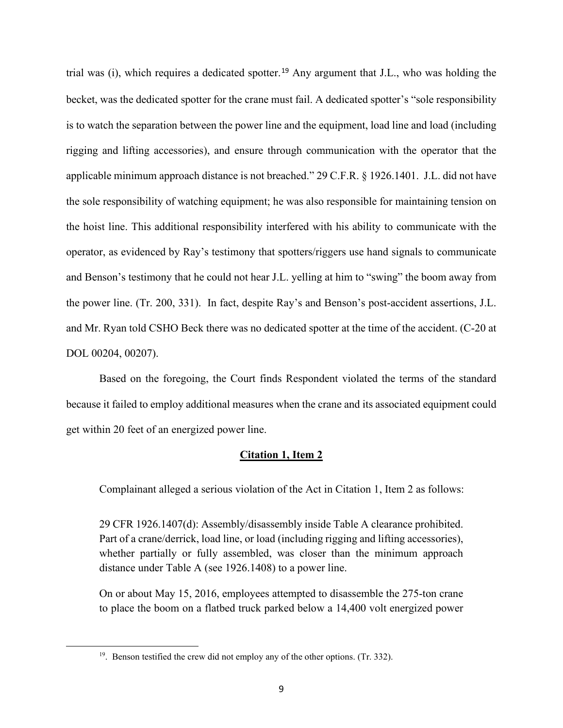trial was (i), which requires a dedicated spotter.[19](#page-21-0) Any argument that J.L., who was holding the becket, was the dedicated spotter for the crane must fail. A dedicated spotter's "sole responsibility is to watch the separation between the power line and the equipment, load line and load (including rigging and lifting accessories), and ensure through communication with the operator that the applicable minimum approach distance is not breached." 29 C.F.R. § 1926.1401. J.L. did not have the sole responsibility of watching equipment; he was also responsible for maintaining tension on the hoist line. This additional responsibility interfered with his ability to communicate with the operator, as evidenced by Ray's testimony that spotters/riggers use hand signals to communicate and Benson's testimony that he could not hear J.L. yelling at him to "swing" the boom away from the power line. (Tr. 200, 331). In fact, despite Ray's and Benson's post-accident assertions, J.L. and Mr. Ryan told CSHO Beck there was no dedicated spotter at the time of the accident. (C-20 at DOL 00204, 00207).

Based on the foregoing, the Court finds Respondent violated the terms of the standard because it failed to employ additional measures when the crane and its associated equipment could get within 20 feet of an energized power line.

## **Citation 1, Item 2**

Complainant alleged a serious violation of the Act in Citation 1, Item 2 as follows:

29 CFR 1926.1407(d): Assembly/disassembly inside Table A clearance prohibited. Part of a crane/derrick, load line, or load (including rigging and lifting accessories), whether partially or fully assembled, was closer than the minimum approach distance under Table A (see 1926.1408) to a power line.

On or about May 15, 2016, employees attempted to disassemble the 275-ton crane to place the boom on a flatbed truck parked below a 14,400 volt energized power

<span id="page-21-0"></span><sup>&</sup>lt;sup>19</sup>. Benson testified the crew did not employ any of the other options. (Tr. 332).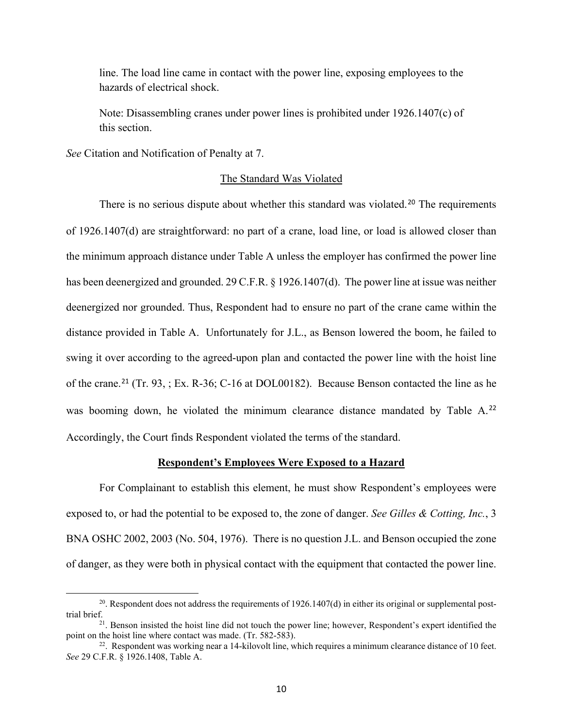line. The load line came in contact with the power line, exposing employees to the hazards of electrical shock.

Note: Disassembling cranes under power lines is prohibited under 1926.1407(c) of this section.

*See* Citation and Notification of Penalty at 7.

#### The Standard Was Violated

 deenergized nor grounded. Thus, Respondent had to ensure no part of the crane came within the was booming down, he violated the minimum clearance distance mandated by Table A.<sup>[22](#page-22-2)</sup> There is no serious dispute about whether this standard was violated.<sup>20</sup> The requirements of 1926.1407(d) are straightforward: no part of a crane, load line, or load is allowed closer than the minimum approach distance under Table A unless the employer has confirmed the power line has been deenergized and grounded. 29 C.F.R. § 1926.1407(d). The power line at issue was neither distance provided in Table A. Unfortunately for J.L., as Benson lowered the boom, he failed to swing it over according to the agreed-upon plan and contacted the power line with the hoist line of the crane.[21](#page-22-1) (Tr. 93, ; Ex. R-36; C-16 at DOL00182). Because Benson contacted the line as he Accordingly, the Court finds Respondent violated the terms of the standard.

## **Respondent's Employees Were Exposed to a Hazard**

 BNA OSHC 2002, 2003 (No. 504, 1976). There is no question J.L. and Benson occupied the zone of danger, as they were both in physical contact with the equipment that contacted the power line.<br><sup>20</sup>. Respondent does not address the requirements of 1926.1407(d) in either its original or supplemental post-For Complainant to establish this element, he must show Respondent's employees were exposed to, or had the potential to be exposed to, the zone of danger. *See Gilles & Cotting, Inc.*, 3

<span id="page-22-0"></span><sup>&</sup>lt;sup>20</sup>. Respondent does not address the requirements of 1926.1407(d) in either its original or supplemental post-

<span id="page-22-1"></span>point on the hoist line where contact was made. (Tr. 582-583).<br><sup>22</sup>. Respondent was working near a 14-kilovolt line, which requires a minimum clearance distance of 10 feet. trial brief.<br><sup>21</sup>. Benson insisted the hoist line did not touch the power line; however, Respondent's expert identified the point on the hoist line where contact was made. (Tr. 582-583).

<span id="page-22-2"></span>*See* 29 C.F.R. § 1926.1408, Table A.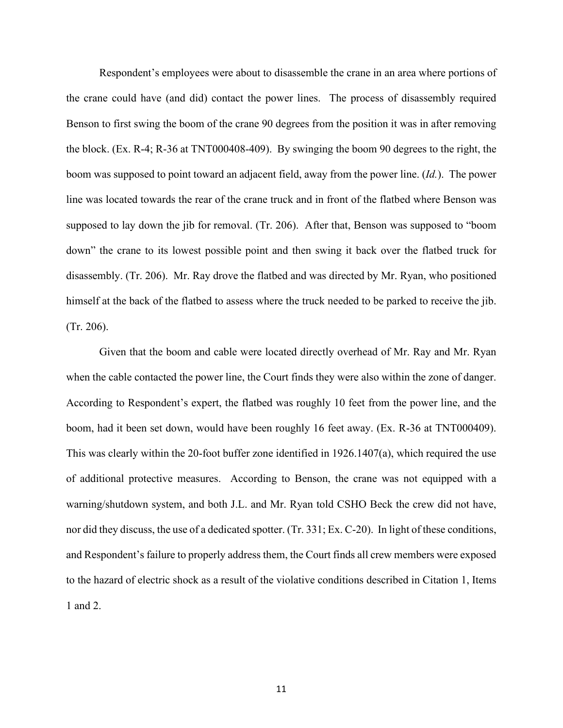Respondent's employees were about to disassemble the crane in an area where portions of the block. (Ex. R-4; R-36 at TNT000408-409). By swinging the boom 90 degrees to the right, the (Tr. 206). the crane could have (and did) contact the power lines. The process of disassembly required Benson to first swing the boom of the crane 90 degrees from the position it was in after removing boom was supposed to point toward an adjacent field, away from the power line. (*Id.*). The power line was located towards the rear of the crane truck and in front of the flatbed where Benson was supposed to lay down the jib for removal. (Tr. 206). After that, Benson was supposed to "boom down" the crane to its lowest possible point and then swing it back over the flatbed truck for disassembly. (Tr. 206). Mr. Ray drove the flatbed and was directed by Mr. Ryan, who positioned himself at the back of the flatbed to assess where the truck needed to be parked to receive the jib.

 boom, had it been set down, would have been roughly 16 feet away. (Ex. R-36 at TNT000409). This was clearly within the 20-foot buffer zone identified in 1926.1407(a), which required the use Given that the boom and cable were located directly overhead of Mr. Ray and Mr. Ryan when the cable contacted the power line, the Court finds they were also within the zone of danger. According to Respondent's expert, the flatbed was roughly 10 feet from the power line, and the of additional protective measures. According to Benson, the crane was not equipped with a warning/shutdown system, and both J.L. and Mr. Ryan told CSHO Beck the crew did not have, nor did they discuss, the use of a dedicated spotter. (Tr. 331; Ex. C-20). In light of these conditions, and Respondent's failure to properly address them, the Court finds all crew members were exposed to the hazard of electric shock as a result of the violative conditions described in Citation 1, Items 1 and 2.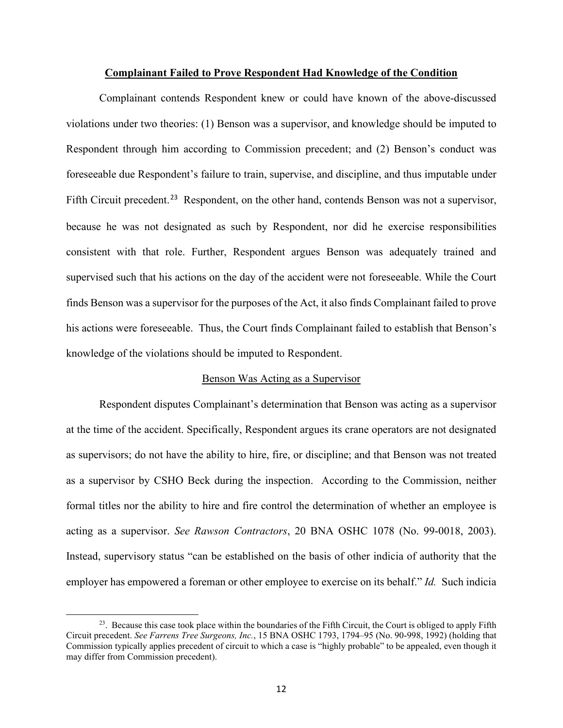## **Complainant Failed to Prove Respondent Had Knowledge of the Condition**

Fifth Circuit precedent.<sup>[23](#page-24-0)</sup> Respondent, on the other hand, contends Benson was not a supervisor, because he was not designated as such by Respondent, nor did he exercise responsibilities supervised such that his actions on the day of the accident were not foreseeable. While the Court Complainant contends Respondent knew or could have known of the above-discussed violations under two theories: (1) Benson was a supervisor, and knowledge should be imputed to Respondent through him according to Commission precedent; and (2) Benson's conduct was foreseeable due Respondent's failure to train, supervise, and discipline, and thus imputable under consistent with that role. Further, Respondent argues Benson was adequately trained and finds Benson was a supervisor for the purposes of the Act, it also finds Complainant failed to prove his actions were foreseeable. Thus, the Court finds Complainant failed to establish that Benson's knowledge of the violations should be imputed to Respondent.

### Benson Was Acting as a Supervisor

 formal titles nor the ability to hire and fire control the determination of whether an employee is employer has empowered a foreman or other employee to exercise on its behalf." *Id.* Such indicia Respondent disputes Complainant's determination that Benson was acting as a supervisor at the time of the accident. Specifically, Respondent argues its crane operators are not designated as supervisors; do not have the ability to hire, fire, or discipline; and that Benson was not treated as a supervisor by CSHO Beck during the inspection. According to the Commission, neither acting as a supervisor. *See Rawson Contractors*, 20 BNA OSHC 1078 (No. 99-0018, 2003). Instead, supervisory status "can be established on the basis of other indicia of authority that the

<span id="page-24-0"></span> $^{23}$ . Because this case took place within the boundaries of the Fifth Circuit, the Court is obliged to apply Fifth Circuit precedent. *See Farrens Tree Surgeons, Inc.*, 15 BNA OSHC 1793, 1794–95 (No. 90-998, 1992) (holding that Commission typically applies precedent of circuit to which a case is "highly probable" to be appealed, even though it may differ from Commission precedent).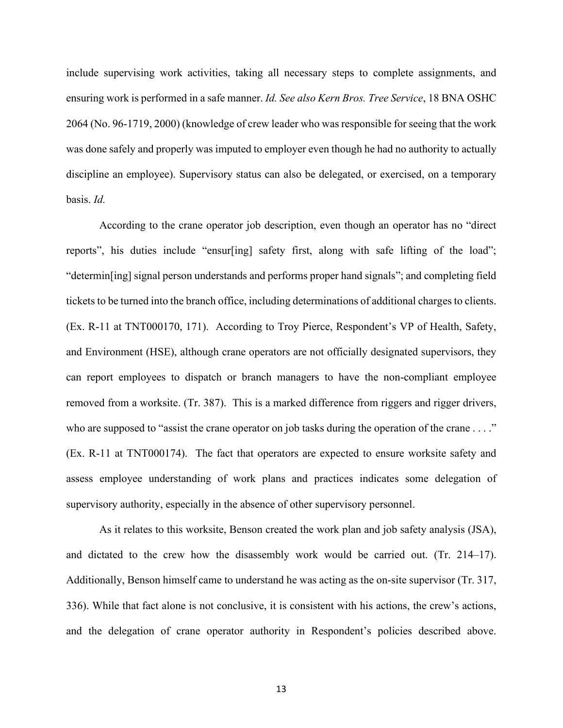include supervising work activities, taking all necessary steps to complete assignments, and ensuring work is performed in a safe manner. *Id. See also Kern Bros. Tree Service*, 18 BNA OSHC 2064 (No. 96-1719, 2000) (knowledge of crew leader who was responsible for seeing that the work was done safely and properly was imputed to employer even though he had no authority to actually discipline an employee). Supervisory status can also be delegated, or exercised, on a temporary basis. *Id.* 

 (Ex. R-11 at TNT000170, 171). According to Troy Pierce, Respondent's VP of Health, Safety, removed from a worksite. (Tr. 387). This is a marked difference from riggers and rigger drivers, who are supposed to "assist the crane operator on job tasks during the operation of the crane . . . ." According to the crane operator job description, even though an operator has no "direct reports", his duties include "ensur[ing] safety first, along with safe lifting of the load"; "determin[ing] signal person understands and performs proper hand signals"; and completing field tickets to be turned into the branch office, including determinations of additional charges to clients. and Environment (HSE), although crane operators are not officially designated supervisors, they can report employees to dispatch or branch managers to have the non-compliant employee (Ex. R-11 at TNT000174). The fact that operators are expected to ensure worksite safety and assess employee understanding of work plans and practices indicates some delegation of supervisory authority, especially in the absence of other supervisory personnel.

 Additionally, Benson himself came to understand he was acting as the on-site supervisor (Tr. 317, 336). While that fact alone is not conclusive, it is consistent with his actions, the crew's actions, As it relates to this worksite, Benson created the work plan and job safety analysis (JSA), and dictated to the crew how the disassembly work would be carried out. (Tr. 214–17). and the delegation of crane operator authority in Respondent's policies described above.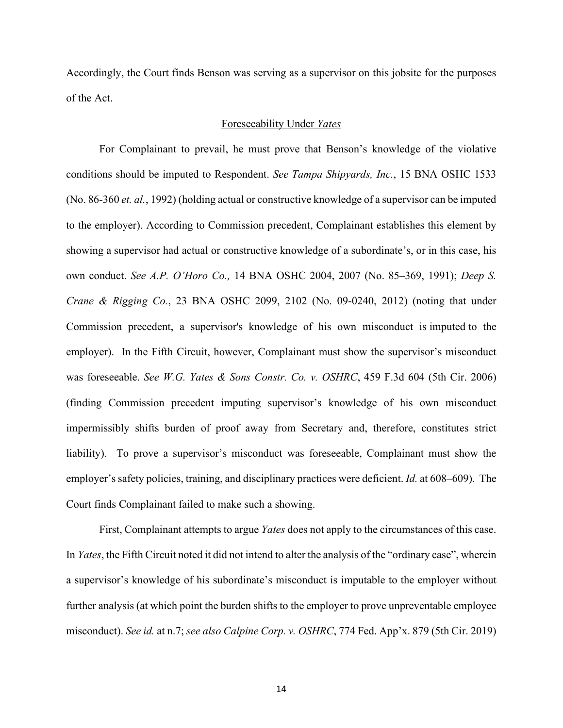Accordingly, the Court finds Benson was serving as a supervisor on this jobsite for the purposes of the Act.

#### Foreseeability Under *Yates*

 showing a supervisor had actual or constructive knowledge of a subordinate's, or in this case, his Commission precedent, a supervisor's knowledge of his own misconduct is imputed to the liability). To prove a supervisor's misconduct was foreseeable, Complainant must show the For Complainant to prevail, he must prove that Benson's knowledge of the violative conditions should be imputed to Respondent. *See Tampa Shipyards, Inc.*, 15 BNA OSHC 1533 (No. 86-360 *et. al.*, 1992) (holding actual or constructive knowledge of a supervisor can be imputed to the employer). According to Commission precedent, Complainant establishes this element by own conduct. *See A.P. O'Horo Co.,* 14 BNA OSHC 2004, 2007 (No. 85–369, 1991); *Deep S. Crane & Rigging Co.*, 23 BNA OSHC 2099, 2102 (No. 09-0240, 2012) (noting that under employer). In the Fifth Circuit, however, Complainant must show the supervisor's misconduct was foreseeable. *See W.G. Yates & Sons Constr. Co. v. OSHRC*, 459 F.3d 604 (5th Cir. 2006) (finding Commission precedent imputing supervisor's knowledge of his own misconduct impermissibly shifts burden of proof away from Secretary and, therefore, constitutes strict employer's safety policies, training, and disciplinary practices were deficient. *Id.* at 608–609). The Court finds Complainant failed to make such a showing.

 First, Complainant attempts to argue *Yates* does not apply to the circumstances of this case. In *Yates*, the Fifth Circuit noted it did not intend to alter the analysis of the "ordinary case", wherein a supervisor's knowledge of his subordinate's misconduct is imputable to the employer without further analysis (at which point the burden shifts to the employer to prove unpreventable employee misconduct). *See id.* at n.7; *see also Calpine Corp. v. OSHRC*, 774 Fed. App'x. 879 (5th Cir. 2019)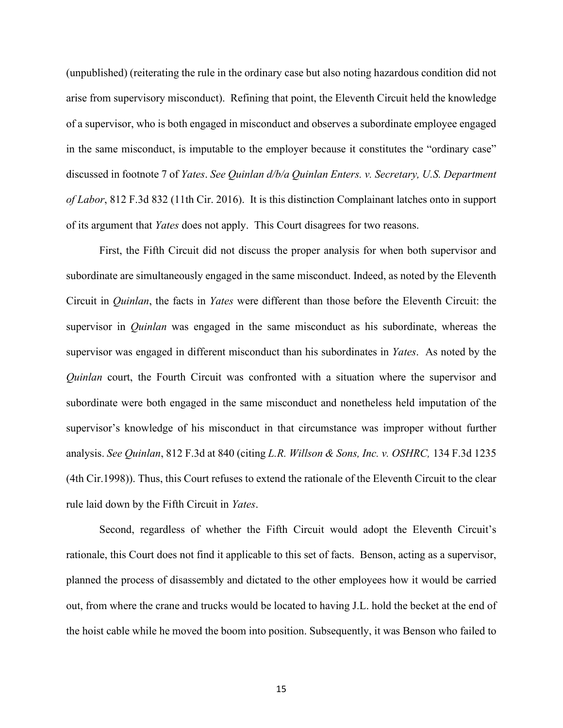(unpublished) (reiterating the rule in the ordinary case but also noting hazardous condition did not arise from supervisory misconduct). Refining that point, the Eleventh Circuit held the knowledge of a supervisor, who is both engaged in misconduct and observes a subordinate employee engaged in the same misconduct, is imputable to the employer because it constitutes the "ordinary case" discussed in footnote 7 of *Yates*. *See Quinlan d/b/a Quinlan Enters. v. Secretary, U.S. Department of Labor*, 812 F.3d 832 (11th Cir. 2016). It is this distinction Complainant latches onto in support of its argument that *Yates* does not apply. This Court disagrees for two reasons.

First, the Fifth Circuit did not discuss the proper analysis for when both supervisor and subordinate are simultaneously engaged in the same misconduct. Indeed, as noted by the Eleventh Circuit in *Quinlan*, the facts in *Yates* were different than those before the Eleventh Circuit: the supervisor in *Quinlan* was engaged in the same misconduct as his subordinate, whereas the supervisor was engaged in different misconduct than his subordinates in *Yates*. As noted by the *Quinlan* court, the Fourth Circuit was confronted with a situation where the supervisor and subordinate were both engaged in the same misconduct and nonetheless held imputation of the supervisor's knowledge of his misconduct in that circumstance was improper without further analysis. *See Quinlan*, 812 F.3d at 840 (citing *L.R. Willson & Sons, Inc. v. OSHRC,* 134 F.3d 1235 (4th Cir.1998)). Thus, this Court refuses to extend the rationale of the Eleventh Circuit to the clear rule laid down by the Fifth Circuit in *Yates*.

 Second, regardless of whether the Fifth Circuit would adopt the Eleventh Circuit's rationale, this Court does not find it applicable to this set of facts. Benson, acting as a supervisor, out, from where the crane and trucks would be located to having J.L. hold the becket at the end of planned the process of disassembly and dictated to the other employees how it would be carried the hoist cable while he moved the boom into position. Subsequently, it was Benson who failed to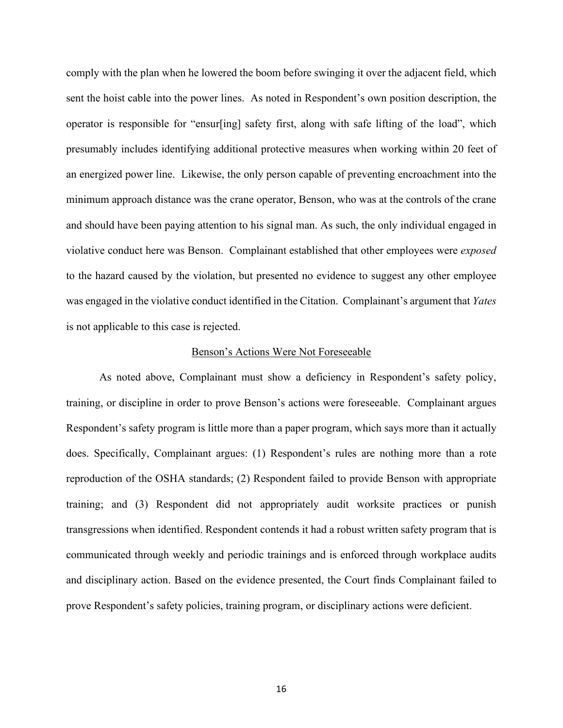minimum approach distance was the crane operator, Benson, who was at the controls of the crane to the hazard caused by the violation, but presented no evidence to suggest any other employee was engaged in the violative conduct identified in the Citation. Complainant's argument that *Yates*  is not applicable to this case is rejected. comply with the plan when he lowered the boom before swinging it over the adjacent field, which sent the hoist cable into the power lines. As noted in Respondent's own position description, the operator is responsible for "ensur[ing] safety first, along with safe lifting of the load", which presumably includes identifying additional protective measures when working within 20 feet of an energized power line. Likewise, the only person capable of preventing encroachment into the and should have been paying attention to his signal man. As such, the only individual engaged in violative conduct here was Benson. Complainant established that other employees were *exposed* 

#### Benson's Actions Were Not Foreseeable

 training, or discipline in order to prove Benson's actions were foreseeable. Complainant argues communicated through weekly and periodic trainings and is enforced through workplace audits As noted above, Complainant must show a deficiency in Respondent's safety policy, Respondent's safety program is little more than a paper program, which says more than it actually does. Specifically, Complainant argues: (1) Respondent's rules are nothing more than a rote reproduction of the OSHA standards; (2) Respondent failed to provide Benson with appropriate training; and (3) Respondent did not appropriately audit worksite practices or punish transgressions when identified. Respondent contends it had a robust written safety program that is and disciplinary action. Based on the evidence presented, the Court finds Complainant failed to prove Respondent's safety policies, training program, or disciplinary actions were deficient.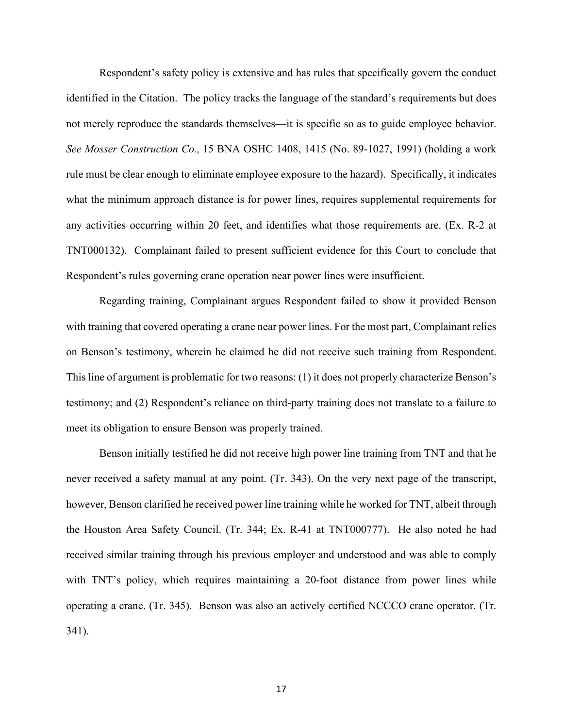TNT000132). Complainant failed to present sufficient evidence for this Court to conclude that Respondent's safety policy is extensive and has rules that specifically govern the conduct identified in the Citation. The policy tracks the language of the standard's requirements but does not merely reproduce the standards themselves—it is specific so as to guide employee behavior. *See Mosser Construction Co.,* 15 BNA OSHC 1408, 1415 (No. 89-1027, 1991) (holding a work rule must be clear enough to eliminate employee exposure to the hazard). Specifically, it indicates what the minimum approach distance is for power lines, requires supplemental requirements for any activities occurring within 20 feet, and identifies what those requirements are. (Ex. R-2 at Respondent's rules governing crane operation near power lines were insufficient.

Regarding training, Complainant argues Respondent failed to show it provided Benson with training that covered operating a crane near power lines. For the most part, Complainant relies on Benson's testimony, wherein he claimed he did not receive such training from Respondent. This line of argument is problematic for two reasons: (1) it does not properly characterize Benson's testimony; and (2) Respondent's reliance on third-party training does not translate to a failure to meet its obligation to ensure Benson was properly trained.

 with TNT's policy, which requires maintaining a 20-foot distance from power lines while operating a crane. (Tr. 345). Benson was also an actively certified NCCCO crane operator. (Tr. 341). Benson initially testified he did not receive high power line training from TNT and that he never received a safety manual at any point. (Tr. 343). On the very next page of the transcript, however, Benson clarified he received power line training while he worked for TNT, albeit through the Houston Area Safety Council. (Tr. 344; Ex. R-41 at TNT000777). He also noted he had received similar training through his previous employer and understood and was able to comply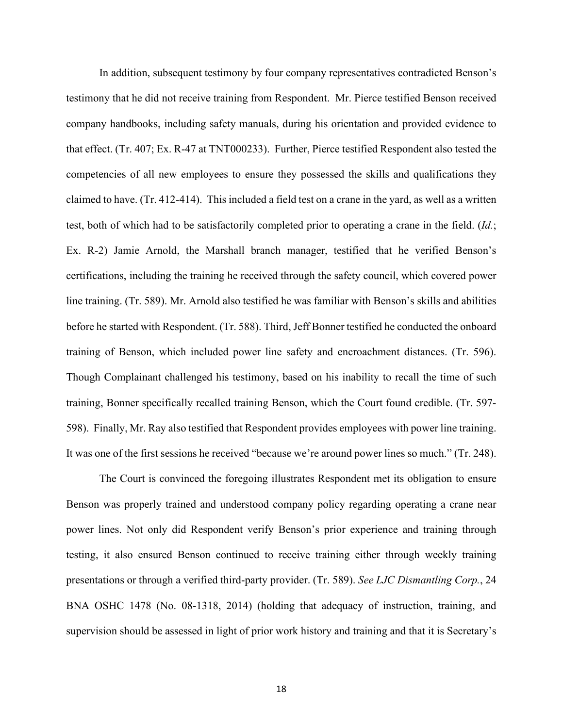In addition, subsequent testimony by four company representatives contradicted Benson's testimony that he did not receive training from Respondent. Mr. Pierce testified Benson received test, both of which had to be satisfactorily completed prior to operating a crane in the field. (*Id.*; certifications, including the training he received through the safety council, which covered power line training. (Tr. 589). Mr. Arnold also testified he was familiar with Benson's skills and abilities training of Benson, which included power line safety and encroachment distances. (Tr. 596). company handbooks, including safety manuals, during his orientation and provided evidence to that effect. (Tr. 407; Ex. R-47 at TNT000233). Further, Pierce testified Respondent also tested the competencies of all new employees to ensure they possessed the skills and qualifications they claimed to have. (Tr. 412-414). This included a field test on a crane in the yard, as well as a written Ex. R-2) Jamie Arnold, the Marshall branch manager, testified that he verified Benson's before he started with Respondent. (Tr. 588). Third, Jeff Bonner testified he conducted the onboard Though Complainant challenged his testimony, based on his inability to recall the time of such training, Bonner specifically recalled training Benson, which the Court found credible. (Tr. 597- 598). Finally, Mr. Ray also testified that Respondent provides employees with power line training. It was one of the first sessions he received "because we're around power lines so much." (Tr. 248).

The Court is convinced the foregoing illustrates Respondent met its obligation to ensure Benson was properly trained and understood company policy regarding operating a crane near power lines. Not only did Respondent verify Benson's prior experience and training through testing, it also ensured Benson continued to receive training either through weekly training presentations or through a verified third-party provider. (Tr. 589). *See LJC Dismantling Corp.*, 24 BNA OSHC 1478 (No. 08-1318, 2014) (holding that adequacy of instruction, training, and supervision should be assessed in light of prior work history and training and that it is Secretary's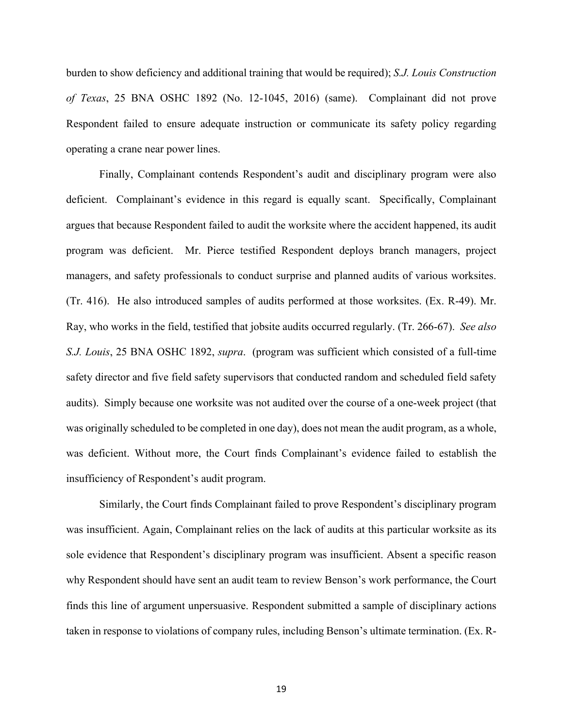*of Texas*, 25 BNA OSHC 1892 (No. 12-1045, 2016) (same). Complainant did not prove burden to show deficiency and additional training that would be required); *S.J. Louis Construction*  Respondent failed to ensure adequate instruction or communicate its safety policy regarding operating a crane near power lines.

 program was deficient. Mr. Pierce testified Respondent deploys branch managers, project Ray, who works in the field, testified that jobsite audits occurred regularly. (Tr. 266-67). *See also S.J. Louis*, 25 BNA OSHC 1892, *supra*. (program was sufficient which consisted of a full-time audits). Simply because one worksite was not audited over the course of a one-week project (that was originally scheduled to be completed in one day), does not mean the audit program, as a whole, Finally, Complainant contends Respondent's audit and disciplinary program were also deficient. Complainant's evidence in this regard is equally scant. Specifically, Complainant argues that because Respondent failed to audit the worksite where the accident happened, its audit managers, and safety professionals to conduct surprise and planned audits of various worksites. (Tr. 416). He also introduced samples of audits performed at those worksites. (Ex. R-49). Mr. safety director and five field safety supervisors that conducted random and scheduled field safety was deficient. Without more, the Court finds Complainant's evidence failed to establish the insufficiency of Respondent's audit program.

Similarly, the Court finds Complainant failed to prove Respondent's disciplinary program was insufficient. Again, Complainant relies on the lack of audits at this particular worksite as its sole evidence that Respondent's disciplinary program was insufficient. Absent a specific reason why Respondent should have sent an audit team to review Benson's work performance, the Court finds this line of argument unpersuasive. Respondent submitted a sample of disciplinary actions taken in response to violations of company rules, including Benson's ultimate termination. (Ex. R-